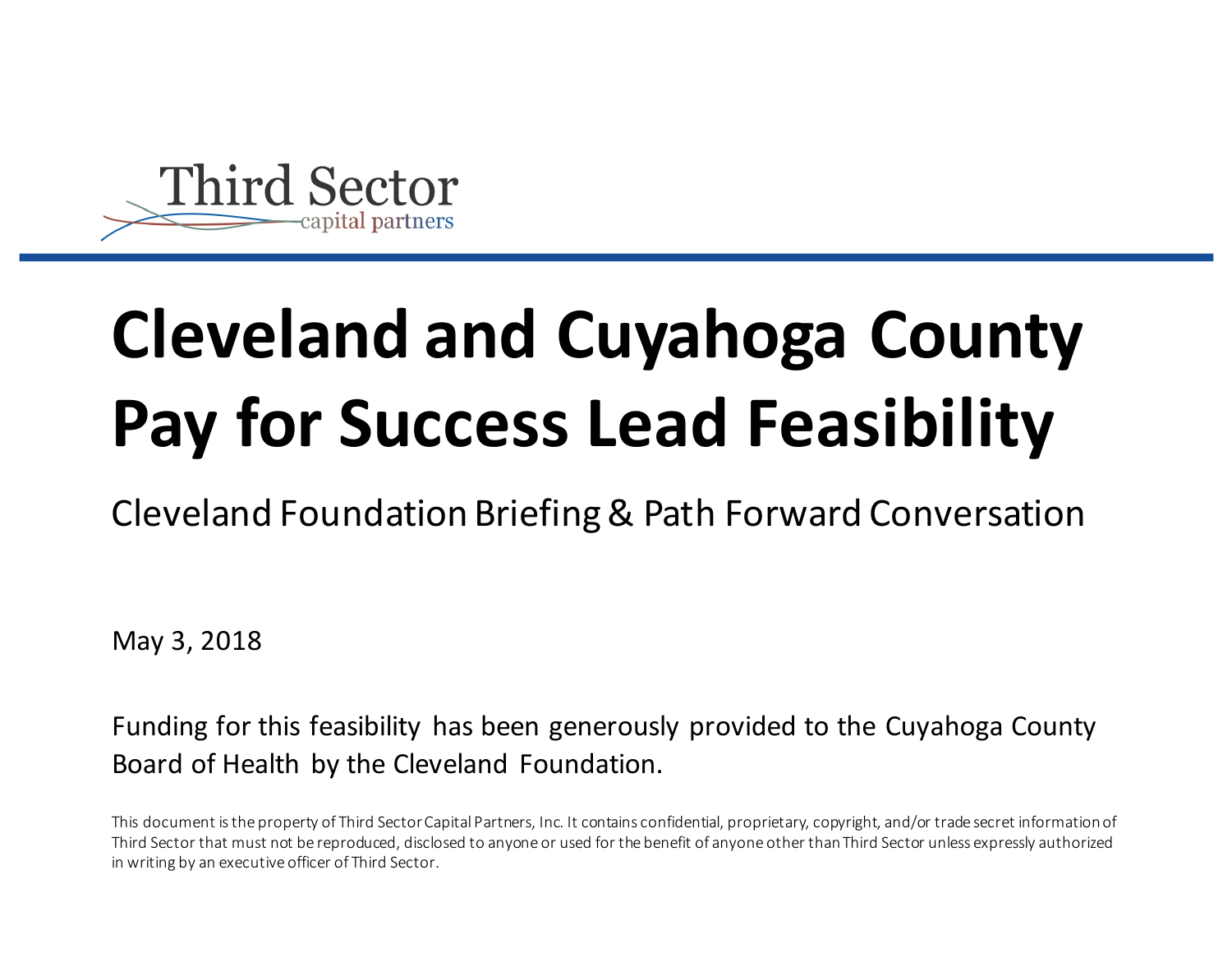

# **Cleveland and Cuyahoga County Pay for Success Lead Feasibility**

Cleveland Foundation Briefing & Path Forward Conversation

May 3, 2018

Funding for this feasibility has been generously provided to the Cuyahoga County Board of Health by the Cleveland Foundation.

This document is the property of Third Sector Capital Partners, Inc. It contains confidential, proprietary, copyright, and/or trade secret information of Third Sector that must not be reproduced, disclosed to anyone or used for the benefit of anyone other than Third Sector unless expressly authorized in writing by an executive officer of Third Sector.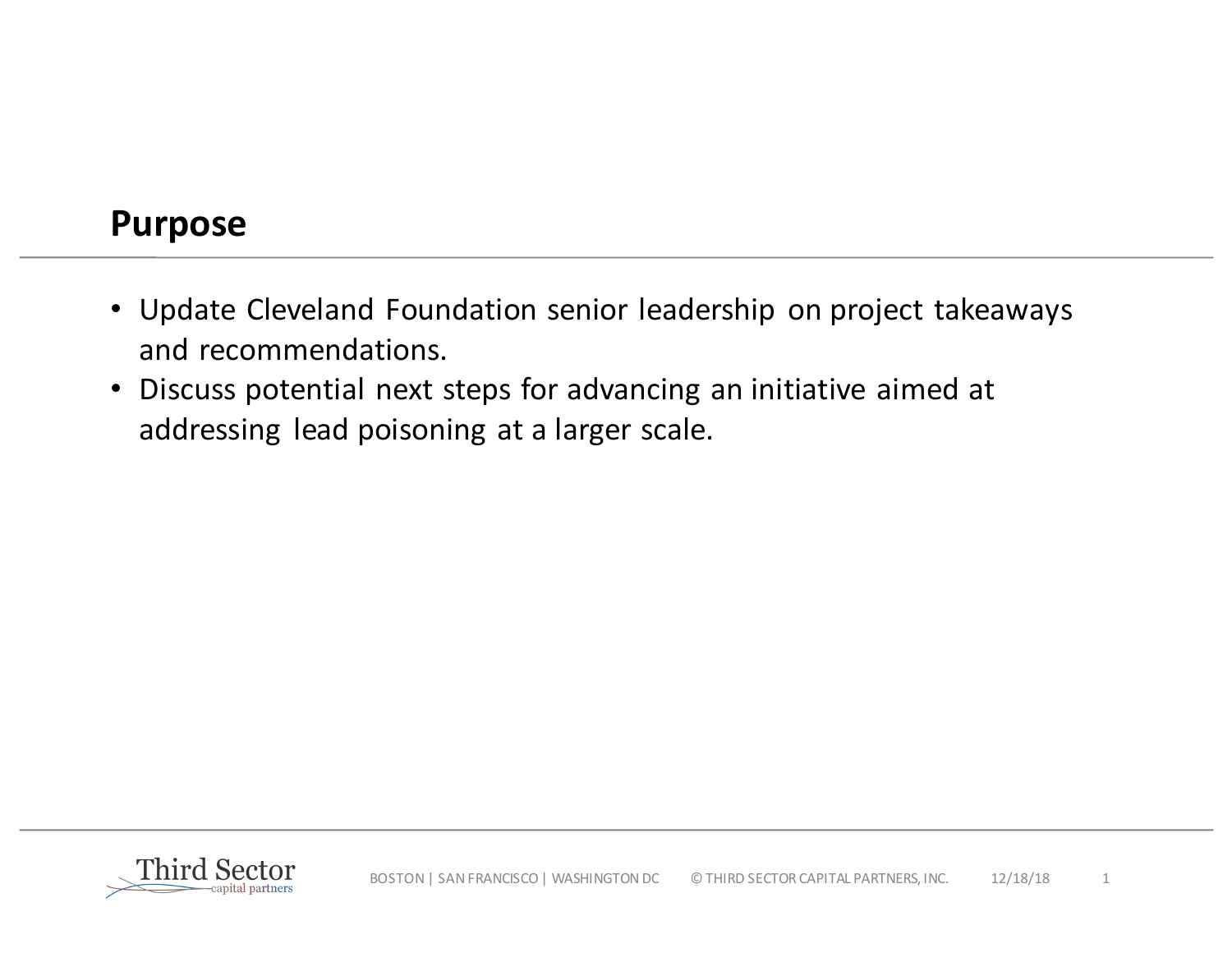## **Purpose**

- Update Cleveland Foundation senior leadership on project takeaways and recommendations.
- Discuss potential next steps for advancing an initiative aimed at addressing lead poisoning at a larger scale.

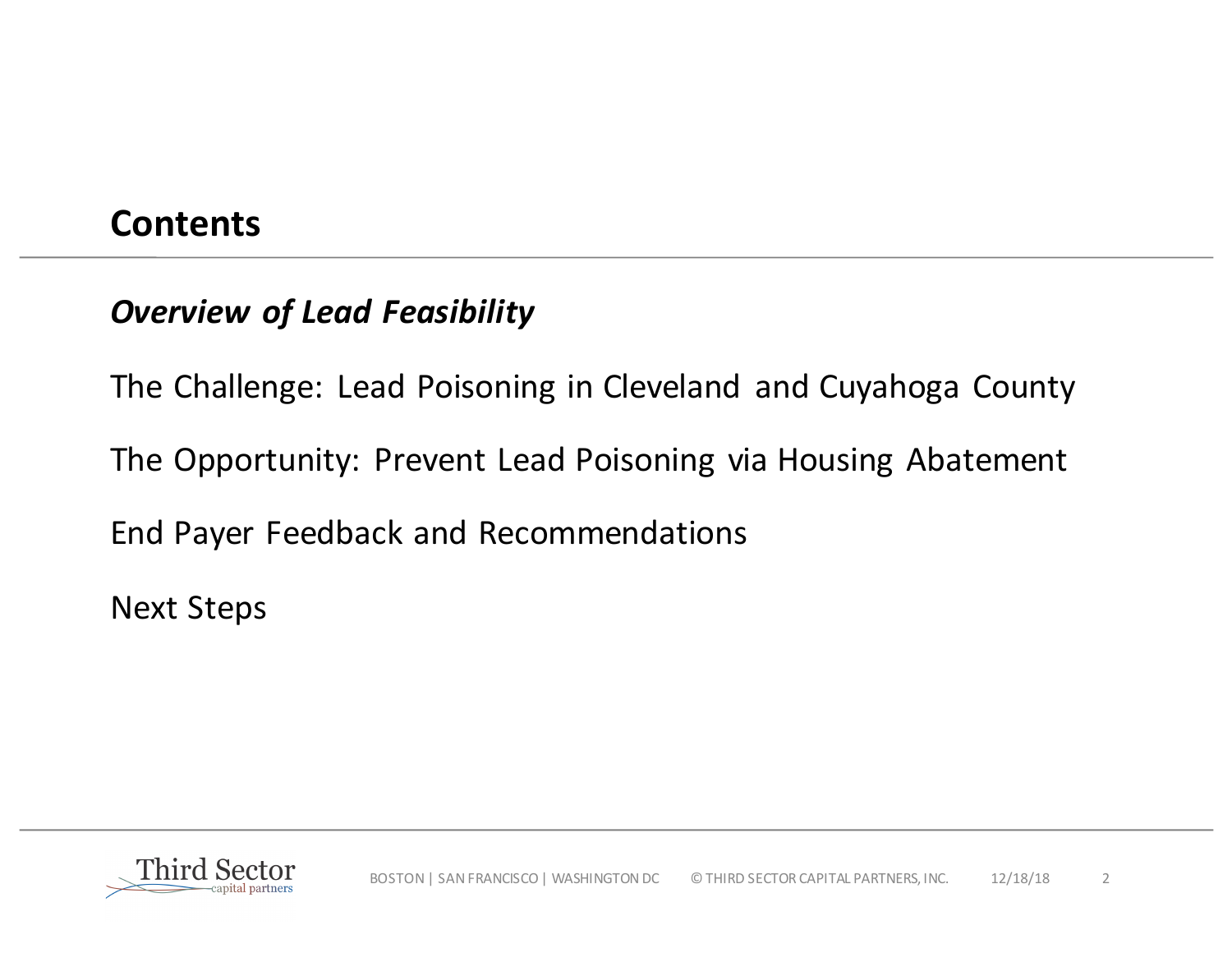## **Contents**

## **Overview of Lead Feasibility**

The Challenge: Lead Poisoning in Cleveland and Cuyahoga County

The Opportunity: Prevent Lead Poisoning via Housing Abatement

End Payer Feedback and Recommendations

**Next Steps** 

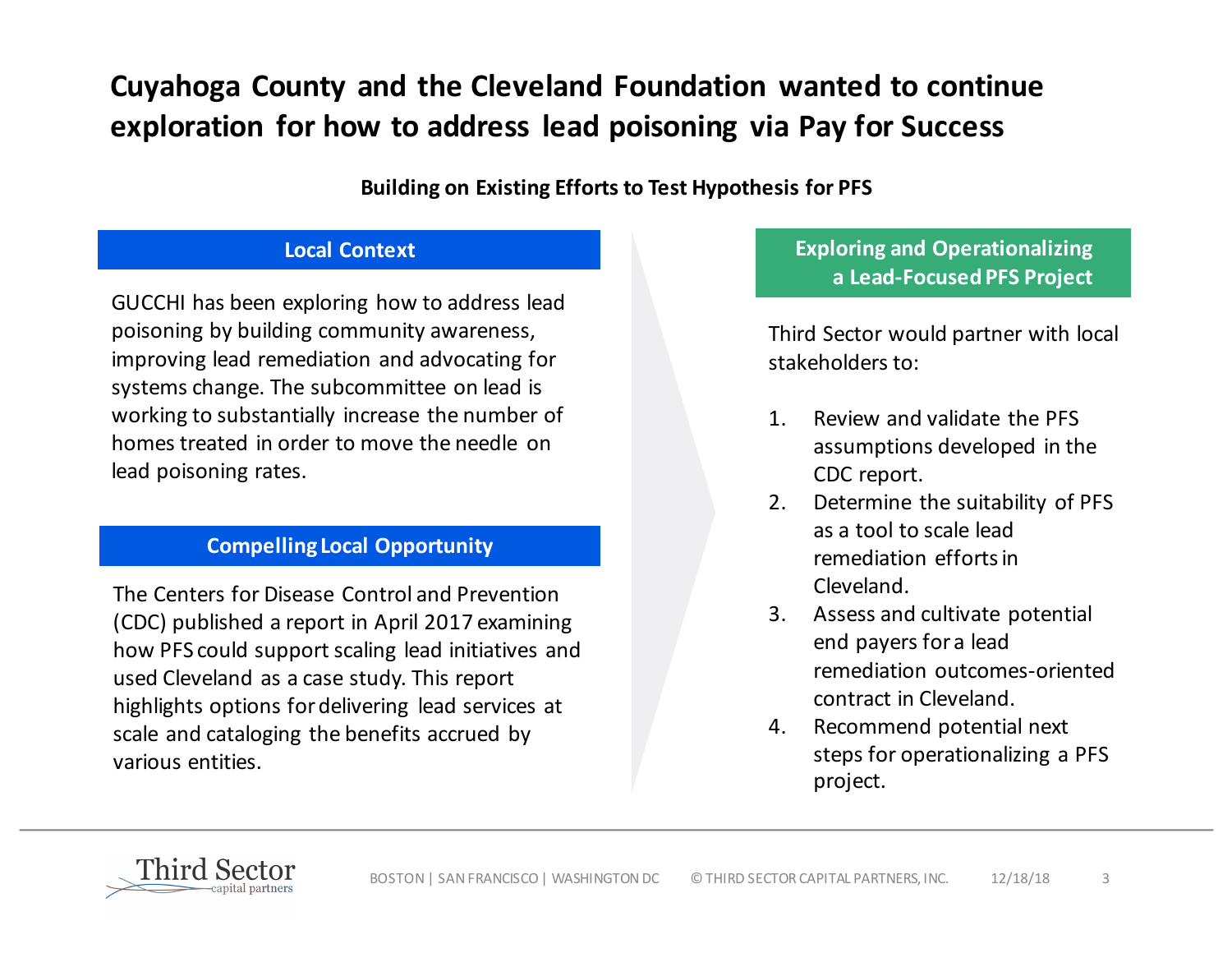## **Cuyahoga County and the Cleveland Foundation wanted to continue**  exploration for how to address lead poisoning via Pay for Success

#### **Building on Existing Efforts to Test Hypothesis for PFS**

#### **Local Context**

GUCCHI has been exploring how to address lead poisoning by building community awareness, improving lead remediation and advocating for systems change. The subcommittee on lead is working to substantially increase the number of homes treated in order to move the needle on lead poisoning rates.

### **Compelling Local Opportunity**

The Centers for Disease Control and Prevention (CDC) published a report in April 2017 examining how PFS could support scaling lead initiatives and used Cleveland as a case study. This report highlights options for delivering lead services at scale and cataloging the benefits accrued by various entities. 

### **Exploring and Operationalizing a Lead-Focused PFS Project**

Third Sector would partner with local stakeholders to:

- 1. Review and validate the PFS assumptions developed in the CDC report.
- 2. Determine the suitability of PFS as a tool to scale lead remediation efforts in Cleveland.
- 3. Assess and cultivate potential end payers for a lead remediation outcomes-oriented contract in Cleveland.
- 4. Recommend potential next steps for operationalizing a PFS project.

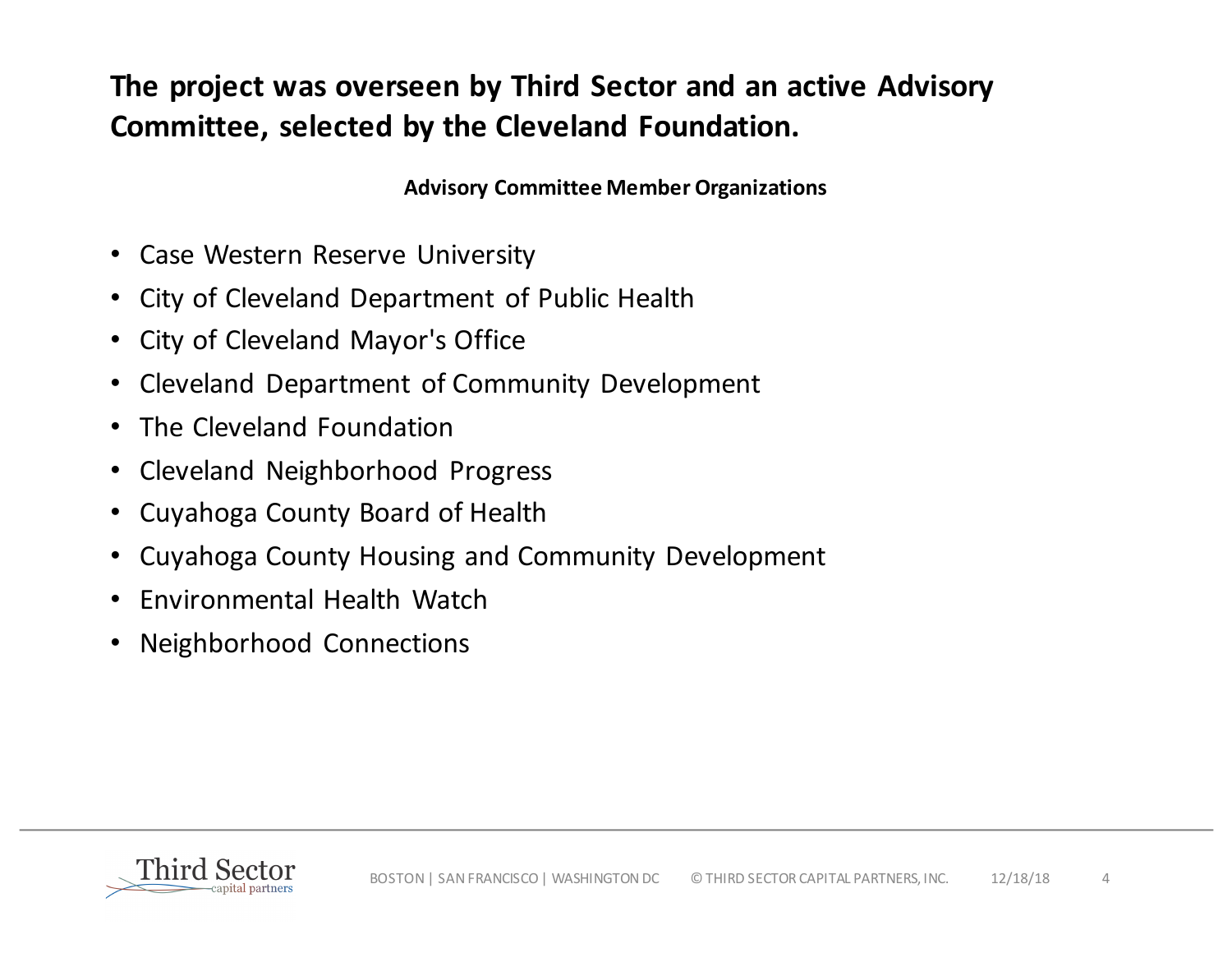## The project was overseen by Third Sector and an active Advisory **Committee, selected by the Cleveland Foundation.**

**Advisory Committee Member Organizations**

- Case Western Reserve University
- City of Cleveland Department of Public Health
- City of Cleveland Mayor's Office
- Cleveland Department of Community Development
- The Cleveland Foundation
- Cleveland Neighborhood Progress
- Cuyahoga County Board of Health
- Cuyahoga County Housing and Community Development
- Fnyironmental Health Watch
- Neighborhood Connections

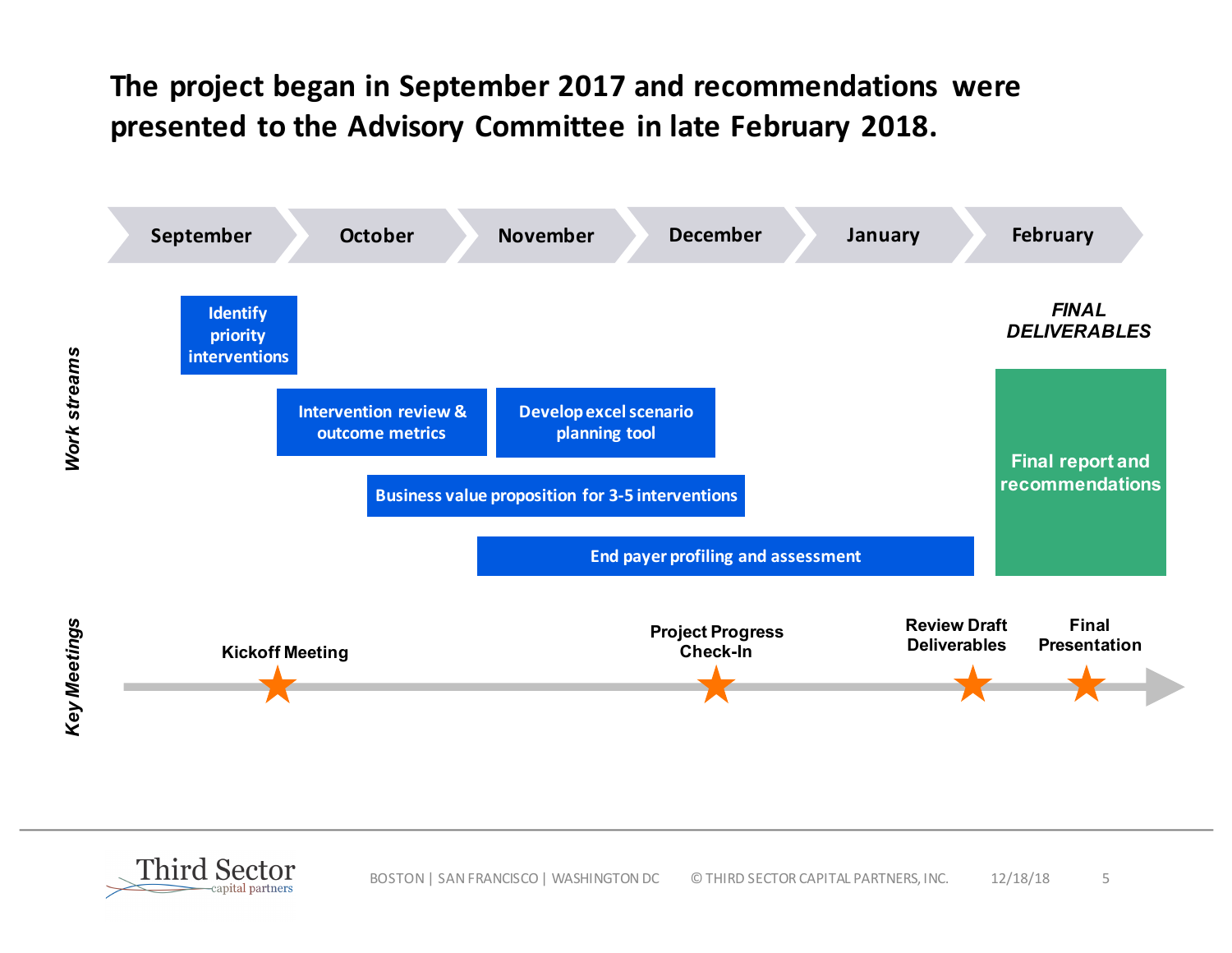## The project began in September 2017 and recommendations were presented to the Advisory Committee in late February 2018.



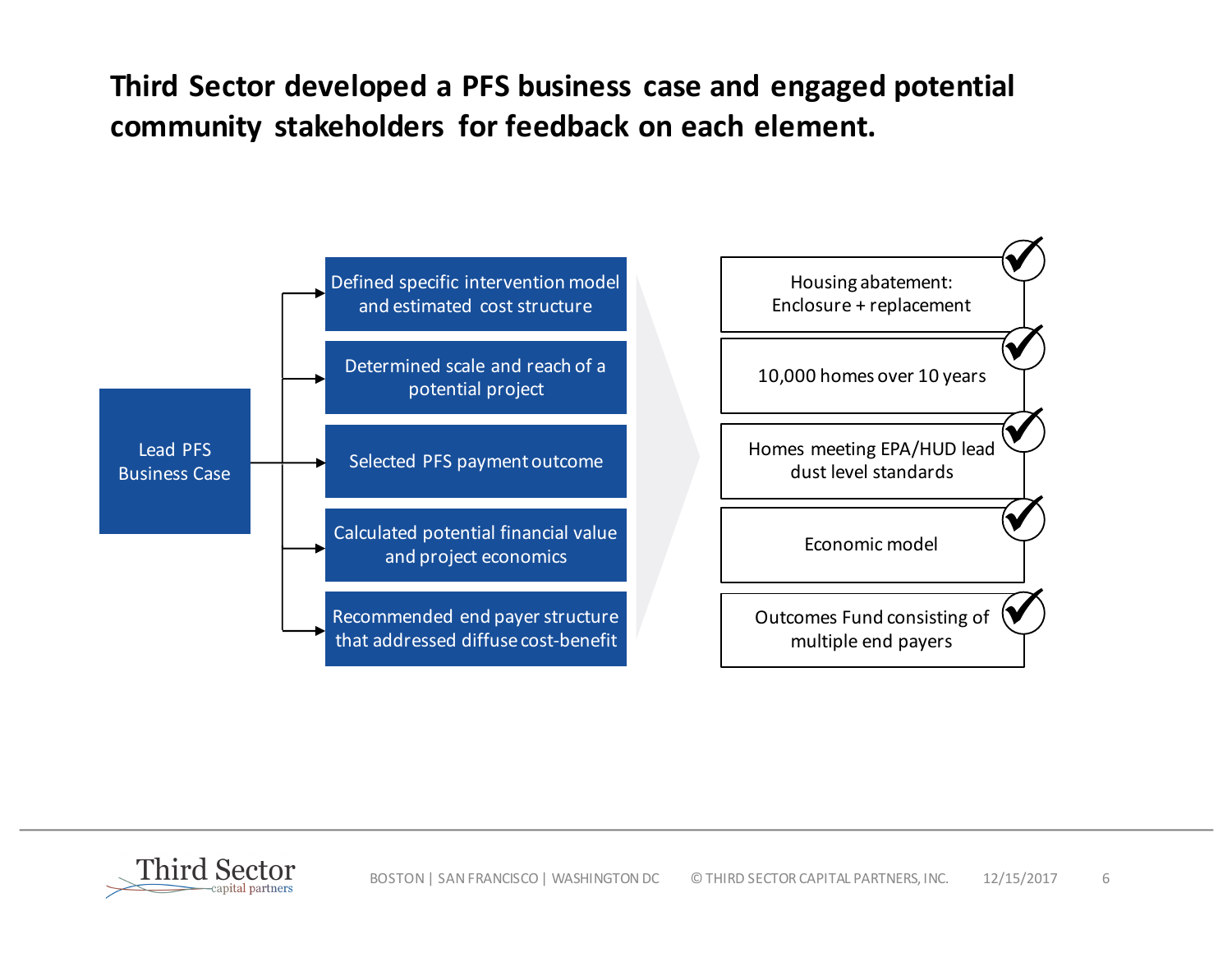Third Sector developed a PFS business case and engaged potential community stakeholders for feedback on each element.



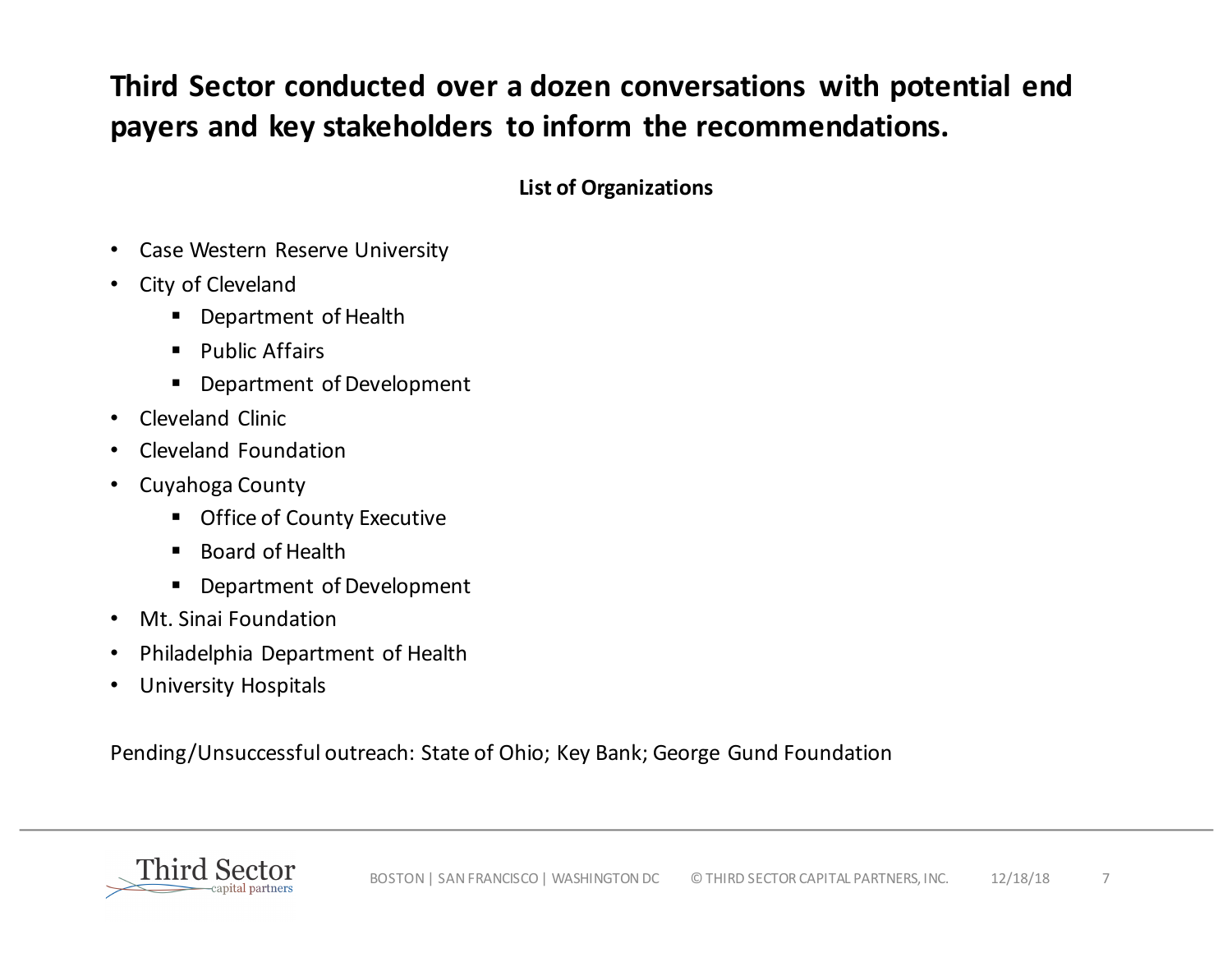## Third Sector conducted over a dozen conversations with potential end payers and key stakeholders to inform the recommendations.

**List of Organizations**

- Case Western Reserve University
- City of Cleveland
	- **•** Department of Health
	- Public Affairs
	- **•** Department of Development
- Cleveland Clinic
- Cleveland Foundation
- Cuyahoga County
	- Office of County Executive
	- Board of Health
	- Department of Development
- Mt. Sinai Foundation
- Philadelphia Department of Health
- University Hospitals

Pending/Unsuccessful outreach: State of Ohio; Key Bank; George Gund Foundation

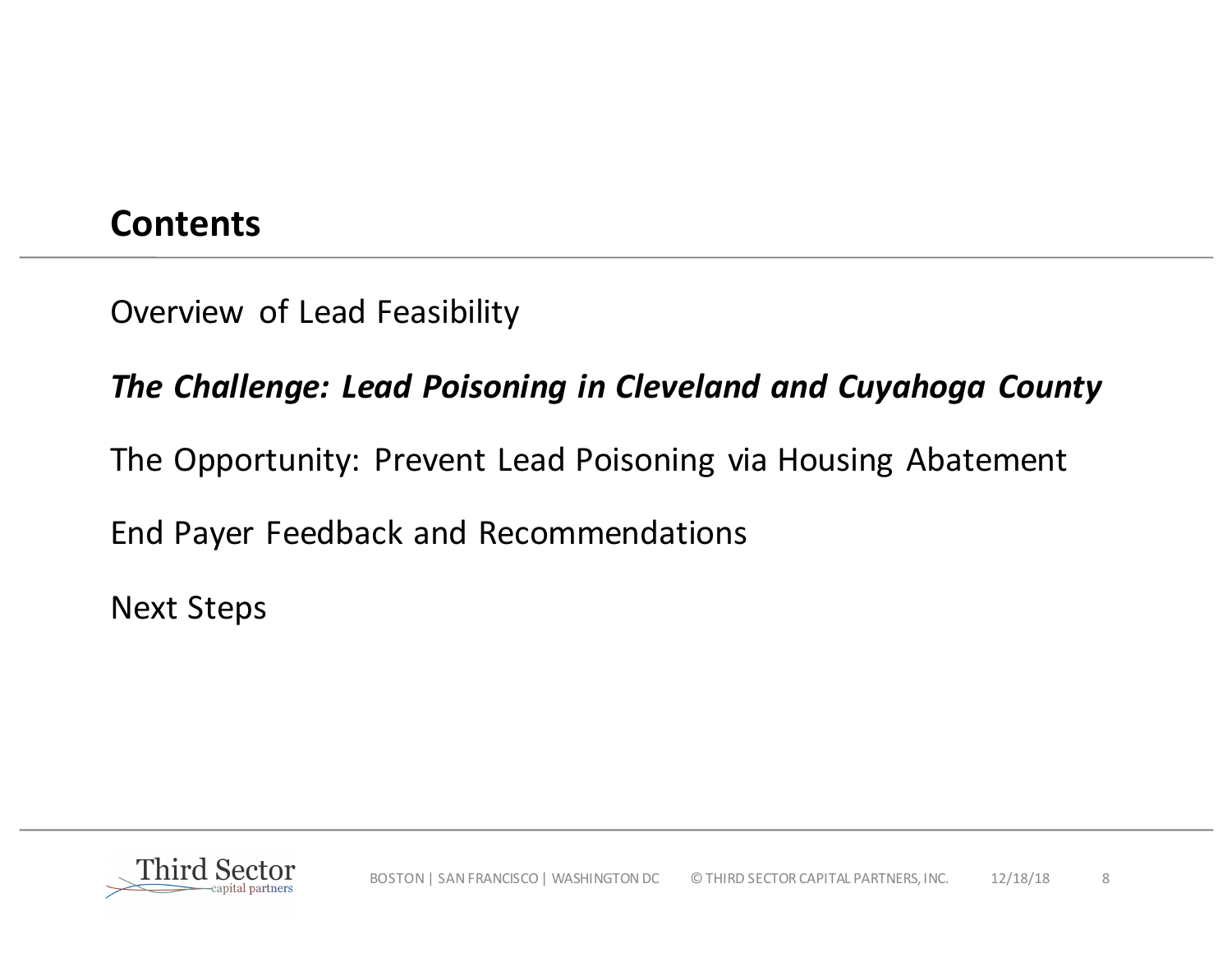## **Contents**

Overview of Lead Feasibility

## **The Challenge: Lead Poisoning in Cleveland and Cuyahoga County**

The Opportunity: Prevent Lead Poisoning via Housing Abatement

End Payer Feedback and Recommendations

**Next Steps** 

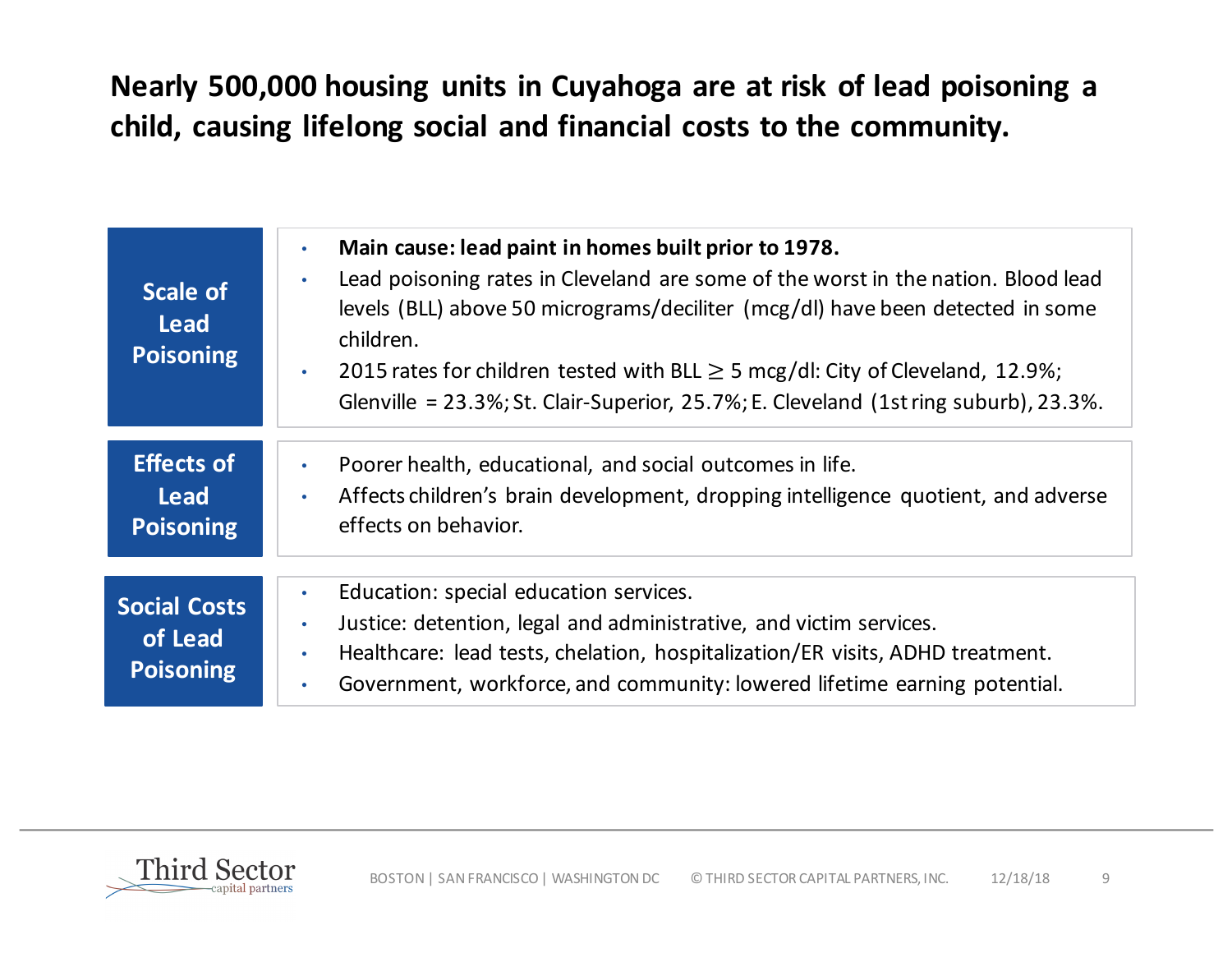## Nearly 500,000 housing units in Cuyahoga are at risk of lead poisoning a child, causing lifelong social and financial costs to the community.

| Scale of<br><b>Lead</b><br><b>Poisoning</b>        | Main cause: lead paint in homes built prior to 1978.<br>$\bullet$<br>Lead poisoning rates in Cleveland are some of the worst in the nation. Blood lead<br>$\bullet$<br>levels (BLL) above 50 micrograms/deciliter (mcg/dl) have been detected in some<br>children.<br>2015 rates for children tested with BLL $\geq$ 5 mcg/dl: City of Cleveland, 12.9%;<br>Glenville = 23.3%; St. Clair-Superior, 25.7%; E. Cleveland (1st ring suburb), 23.3%. |
|----------------------------------------------------|--------------------------------------------------------------------------------------------------------------------------------------------------------------------------------------------------------------------------------------------------------------------------------------------------------------------------------------------------------------------------------------------------------------------------------------------------|
| <b>Effects of</b><br>Lead<br><b>Poisoning</b>      | Poorer health, educational, and social outcomes in life.<br>$\bullet$<br>Affects children's brain development, dropping intelligence quotient, and adverse<br>$\bullet$<br>effects on behavior.                                                                                                                                                                                                                                                  |
| <b>Social Costs</b><br>of Lead<br><b>Poisoning</b> | Education: special education services.<br>$\bullet$<br>Justice: detention, legal and administrative, and victim services.<br>$\bullet$<br>Healthcare: lead tests, chelation, hospitalization/ER visits, ADHD treatment.<br>$\bullet$<br>Government, workforce, and community: lowered lifetime earning potential.<br>$\bullet$                                                                                                                   |

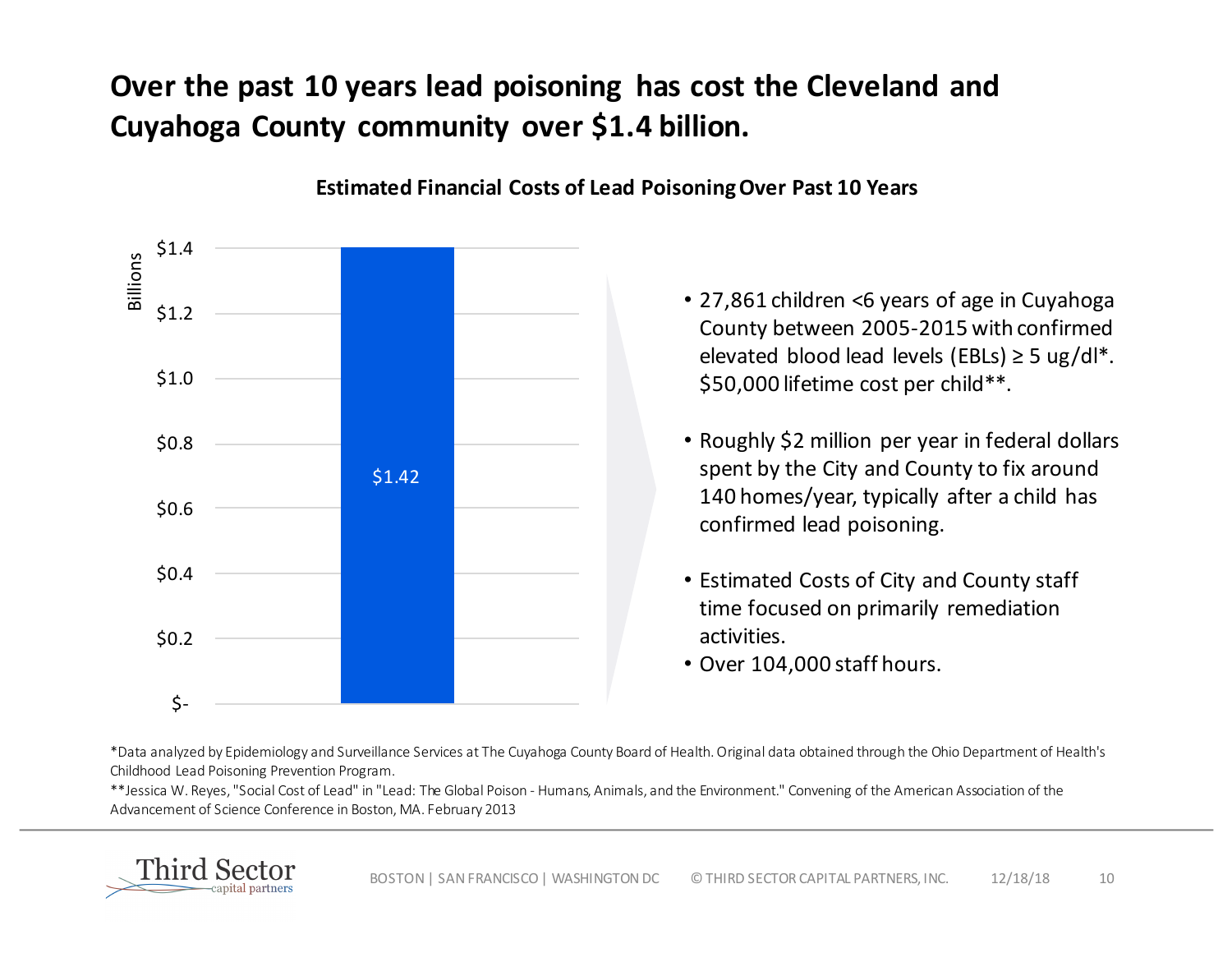## **Over the past 10 years lead poisoning has cost the Cleveland and Cuyahoga County community over \$1.4 billion.**



**Estimated Financial Costs of Lead Poisoning Over Past 10 Years** 

- 27,861 children <6 years of age in Cuyahoga County between 2005-2015 with confirmed elevated blood lead levels (EBLs)  $\geq$  5 ug/dl\*. \$50,000 lifetime cost per child\*\*.
- Roughly \$2 million per year in federal dollars spent by the City and County to fix around 140 homes/year, typically after a child has confirmed lead poisoning.
- Estimated Costs of City and County staff time focused on primarily remediation activities.
- Over 104,000 staff hours.

\*Data analyzed by Epidemiology and Surveillance Services at The Cuyahoga County Board of Health. Original data obtained through the Ohio Department of Health's Childhood Lead Poisoning Prevention Program.

\*\*Jessica W. Reyes, "Social Cost of Lead" in "Lead: The Global Poison - Humans, Animals, and the Environment." Convening of the American Association of the Advancement of Science Conference in Boston, MA. February 2013

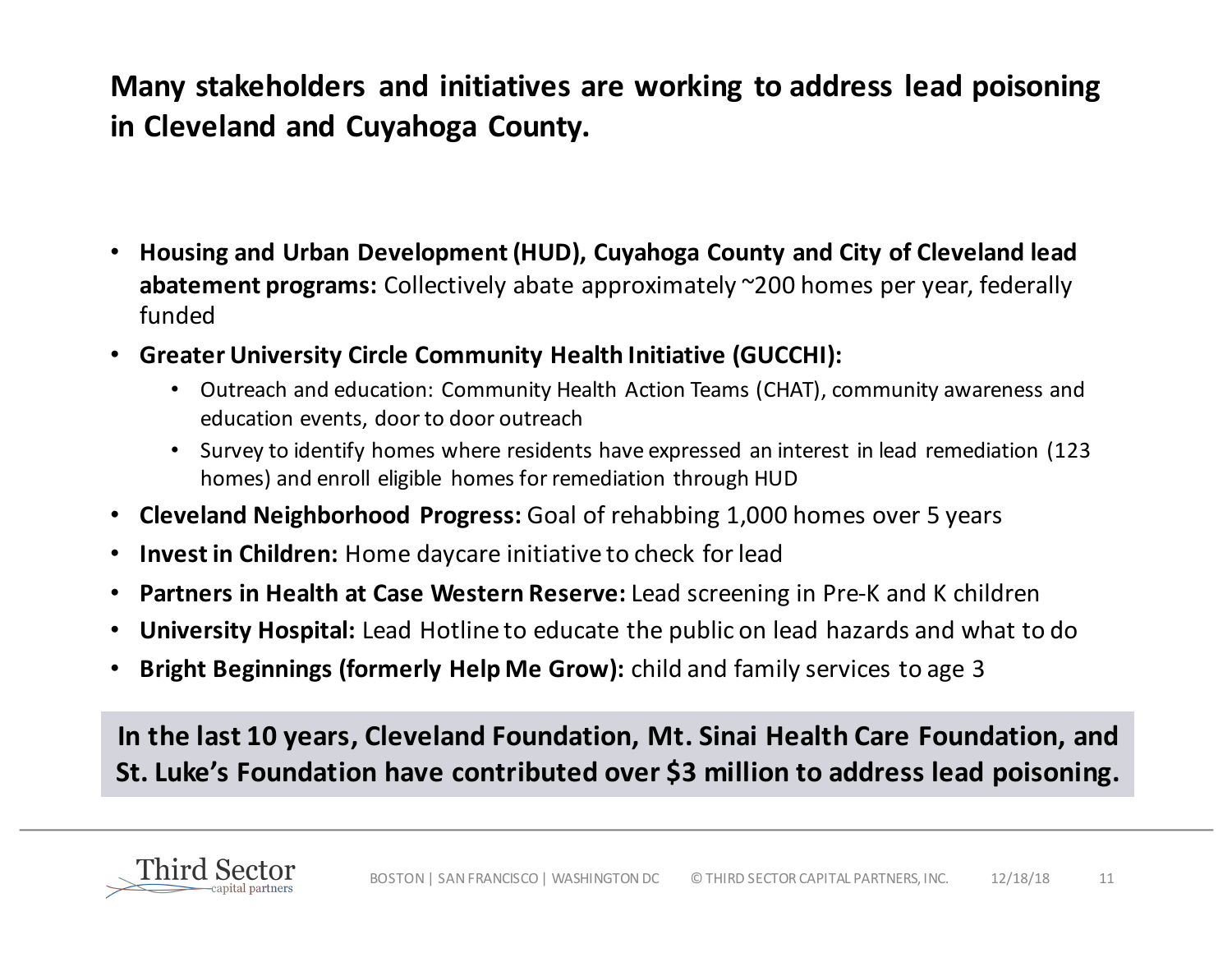**Many stakeholders and initiatives are working to address lead poisoning in Cleveland and Cuyahoga County.** 

- Housing and Urban Development (HUD), Cuyahoga County and City of Cleveland lead **abatement programs:** Collectively abate approximately ~200 homes per year, federally funded
- **Greater University Circle Community Health Initiative (GUCCHI):** 
	- Outreach and education: Community Health Action Teams (CHAT), community awareness and education events, door to door outreach
	- Survey to identify homes where residents have expressed an interest in lead remediation (123) homes) and enroll eligible homes for remediation through HUD
- **Cleveland Neighborhood Progress:** Goal of rehabbing 1,000 homes over 5 years
- **Invest in Children:** Home daycare initiative to check for lead
- Partners in Health at Case Western Reserve: Lead screening in Pre-K and K children
- **University Hospital:** Lead Hotline to educate the public on lead hazards and what to do
- **Bright Beginnings (formerly Help Me Grow):** child and family services to age 3

In the last 10 years, Cleveland Foundation, Mt. Sinai Health Care Foundation, and St. Luke's Foundation have contributed over \$3 million to address lead poisoning.

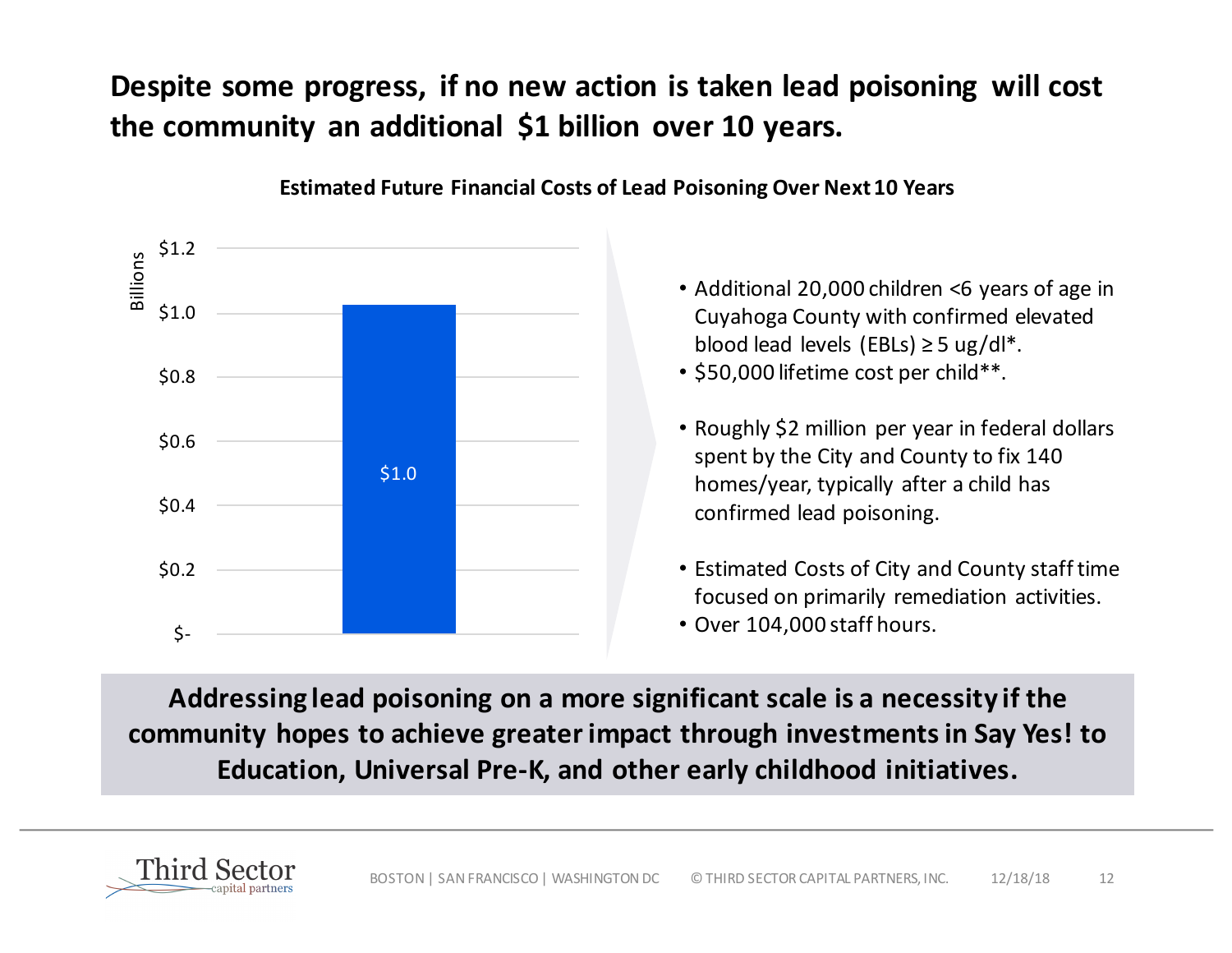## **Despite some progress, if no new action is taken lead poisoning will cost** the community an additional \$1 billion over 10 years.



**Estimated Future Financial Costs of Lead Poisoning Over Next 10 Years** 

- Additional 20,000 children <6 years of age in Cuyahoga County with confirmed elevated blood lead levels (EBLs)  $\geq$  5 ug/dl<sup>\*</sup>.
- \$50,000 lifetime cost per child\*\*.
- Roughly \$2 million per year in federal dollars spent by the City and County to fix 140 homes/year, typically after a child has confirmed lead poisoning.
- Estimated Costs of City and County staff time focused on primarily remediation activities.
- Over 104,000 staff hours.

Addressing lead poisoning on a more significant scale is a necessity if the community hopes to achieve greater impact through investments in Say Yes! to Education, Universal Pre-K, and other early childhood initiatives.

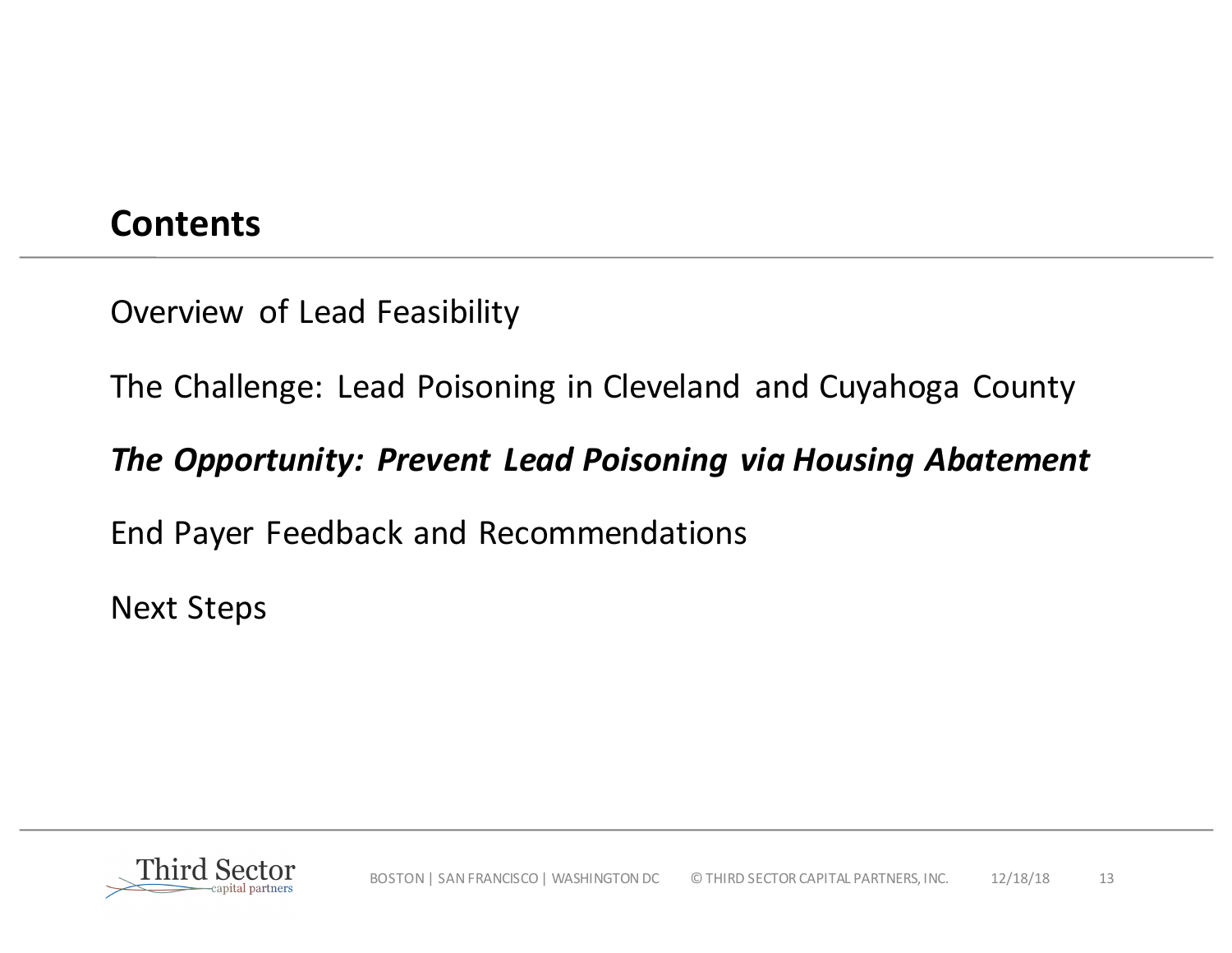## **Contents**

Overview of Lead Feasibility

The Challenge: Lead Poisoning in Cleveland and Cuyahoga County

## *The Opportunity: Prevent Lead Poisoning via Housing Abatement*

End Payer Feedback and Recommendations

**Next Steps** 

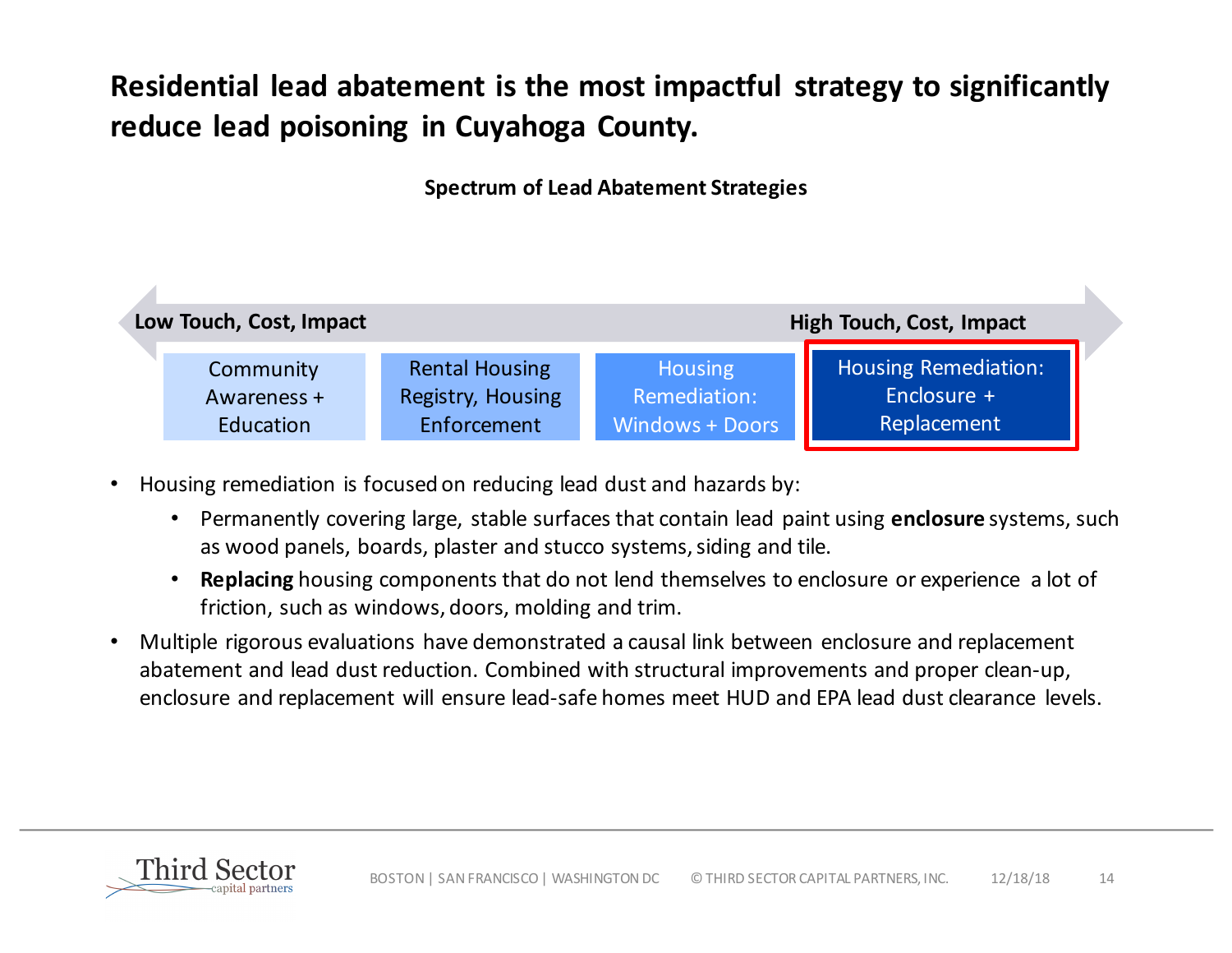## **Residential lead abatement is the most impactful strategy to significantly reduce lead poisoning in Cuyahoga County.**

### **Spectrum of Lead Abatement Strategies**



- Housing remediation is focused on reducing lead dust and hazards by:
	- Permanently covering large, stable surfaces that contain lead paint using **enclosure** systems, such as wood panels, boards, plaster and stucco systems, siding and tile.
	- **Replacing** housing components that do not lend themselves to enclosure or experience a lot of friction, such as windows, doors, molding and trim.
- Multiple rigorous evaluations have demonstrated a causal link between enclosure and replacement abatement and lead dust reduction. Combined with structural improvements and proper clean-up, enclosure and replacement will ensure lead-safe homes meet HUD and EPA lead dust clearance levels.

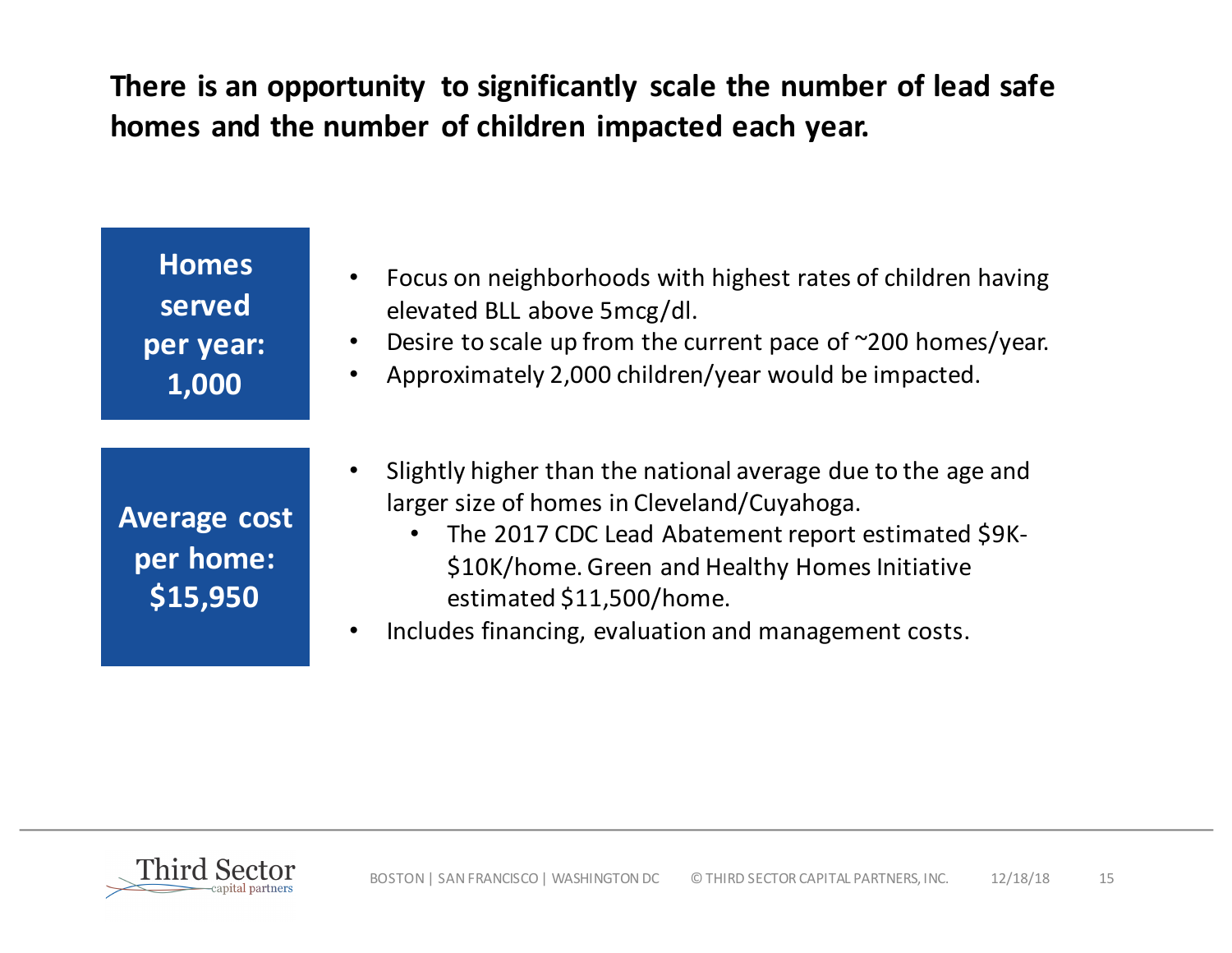There is an opportunity to significantly scale the number of lead safe homes and the number of children impacted each year.

| <b>Homes</b><br>served<br>per year:<br>1,000 | Focus on neighborhoods with highest rates of children having<br>elevated BLL above 5mcg/dl.<br>Desire to scale up from the current pace of $\sim$ 200 homes/year.<br>Approximately 2,000 children/year would be impacted.<br>$\bullet$                                                                  |
|----------------------------------------------|---------------------------------------------------------------------------------------------------------------------------------------------------------------------------------------------------------------------------------------------------------------------------------------------------------|
| <b>Average cost</b><br>per home:<br>\$15,950 | Slightly higher than the national average due to the age and<br>larger size of homes in Cleveland/Cuyahoga.<br>The 2017 CDC Lead Abatement report estimated \$9K-<br>\$10K/home. Green and Healthy Homes Initiative<br>estimated \$11,500/home.<br>Includes financing, evaluation and management costs. |

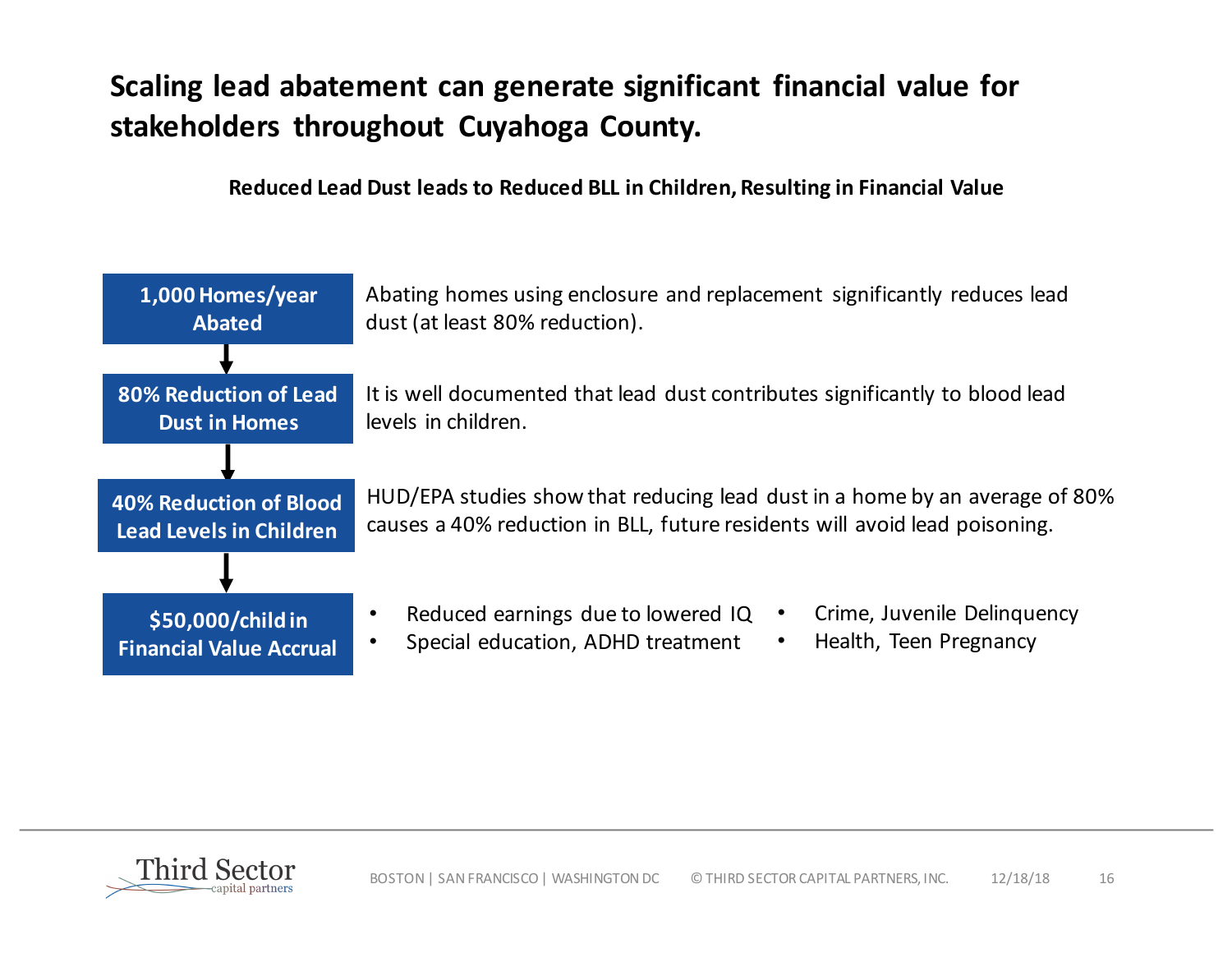## **Scaling lead abatement can generate significant financial value for** stakeholders throughout Cuyahoga County.

**Reduced Lead Dust leads to Reduced BLL in Children, Resulting in Financial Value** 



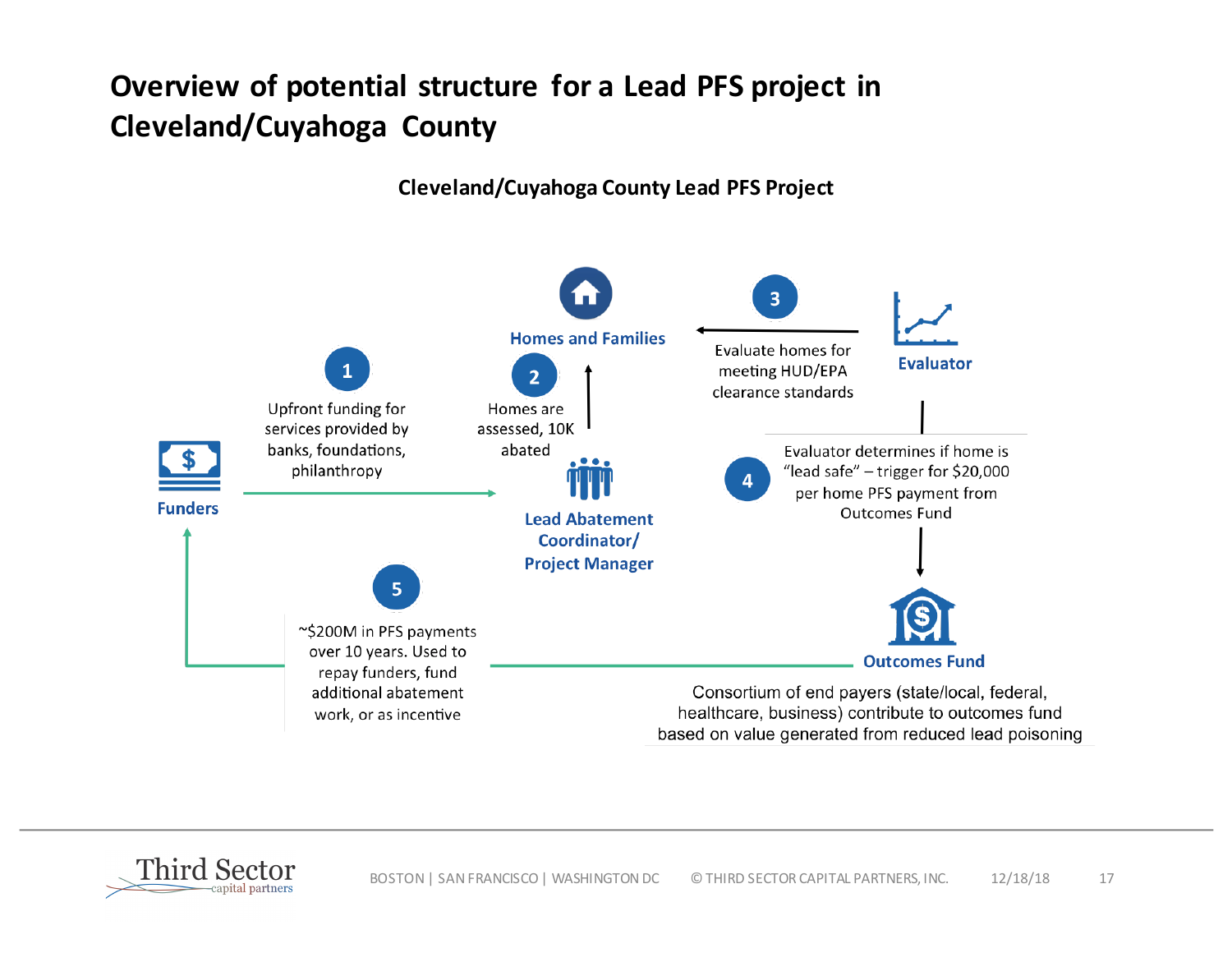## **Overview of potential structure for a Lead PFS project in Cleveland/Cuyahoga County**

**Cleveland/Cuyahoga County Lead PFS Project**



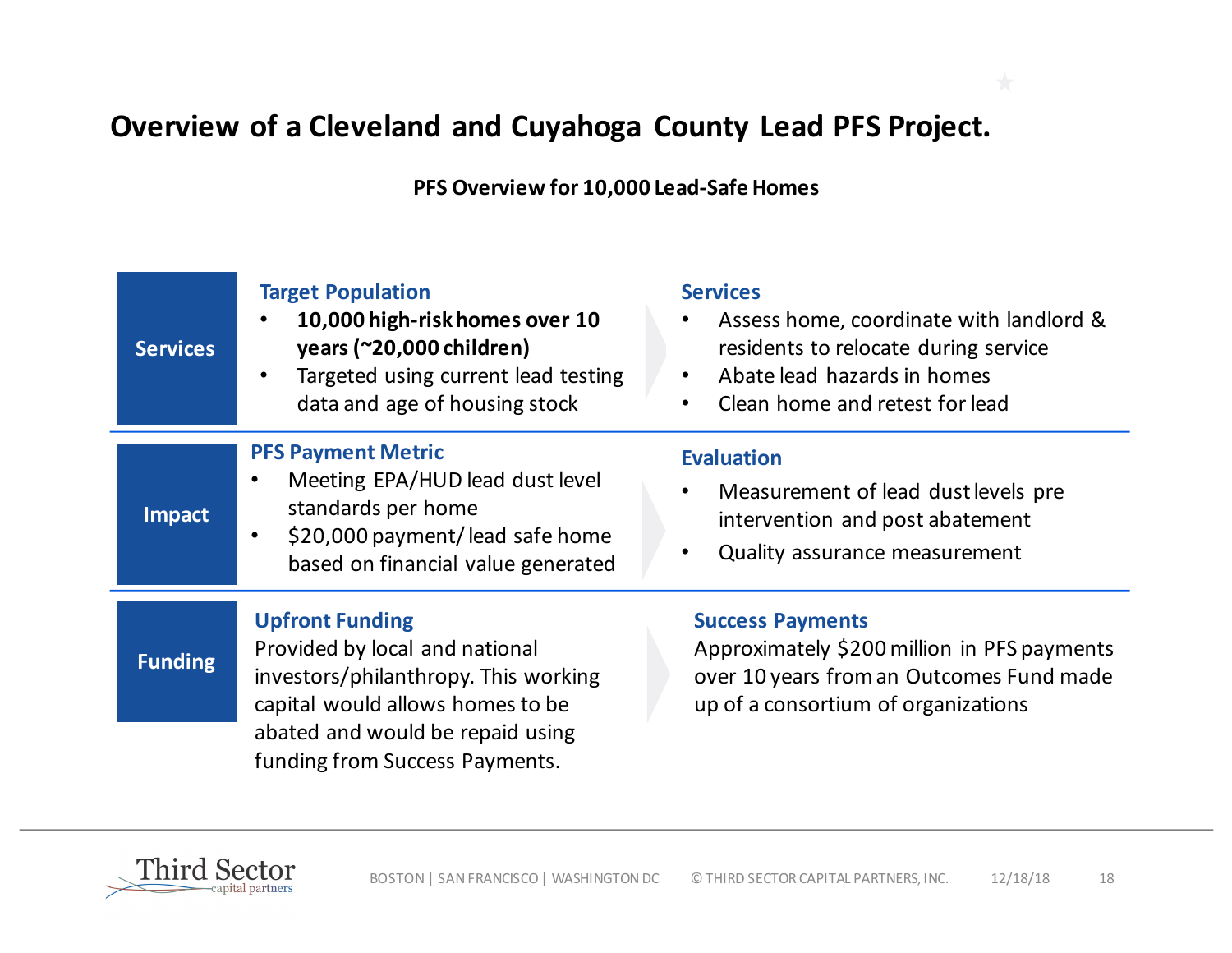## **Overview of a Cleveland and Cuyahoga County Lead PFS Project.**

**PFS Overview for 10,000 Lead-Safe Homes**

| <b>Services</b> | <b>Target Population</b><br>10,000 high-risk homes over 10<br>years (~20,000 children)<br>Targeted using current lead testing<br>data and age of housing stock                        | <b>Services</b><br>Assess home, coordinate with landlord &<br>residents to relocate during service<br>Abate lead hazards in homes<br>$\bullet$<br>Clean home and retest for lead |
|-----------------|---------------------------------------------------------------------------------------------------------------------------------------------------------------------------------------|----------------------------------------------------------------------------------------------------------------------------------------------------------------------------------|
| <b>Impact</b>   | <b>PFS Payment Metric</b><br>Meeting EPA/HUD lead dust level<br>$\bullet$<br>standards per home<br>\$20,000 payment/lead safe home<br>$\bullet$<br>based on financial value generated | <b>Evaluation</b><br>Measurement of lead dust levels pre<br>٠<br>intervention and post abatement<br>Quality assurance measurement<br>٠                                           |
| <b>Funding</b>  | <b>Upfront Funding</b><br>Provided by local and national<br>investors/philanthropy. This working<br>capital would allows homes to be<br>abated and would be repaid using              | <b>Success Payments</b><br>Approximately \$200 million in PFS payments<br>over 10 years from an Outcomes Fund made<br>up of a consortium of organizations                        |
|                 | funding from Success Payments.                                                                                                                                                        |                                                                                                                                                                                  |

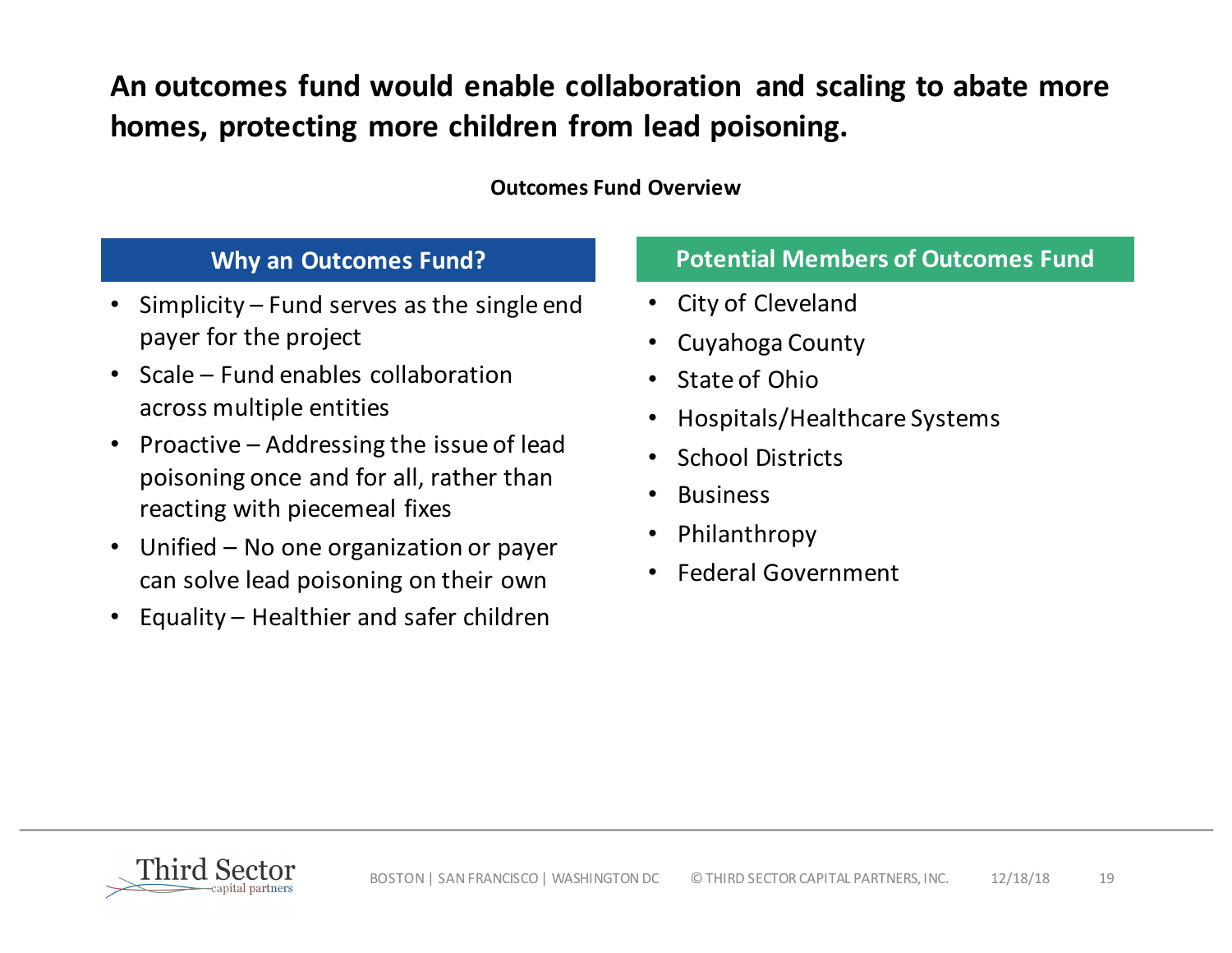An outcomes fund would enable collaboration and scaling to abate more homes, protecting more children from lead poisoning.

### **Outcomes Fund Overview**

- Simplicity Fund serves as the single end payer for the project
- Scale  $-$  Fund enables collaboration across multiple entities
- Proactive  $-$  Addressing the issue of lead poisoning once and for all, rather than reacting with piecemeal fixes
- Unified No one organization or payer can solve lead poisoning on their own
- Equality  $-$  Healthier and safer children

### **Why an Outcomes Fund? Potential Members of Outcomes Fund**

- City of Cleveland
- Cuyahoga County
- State of Ohio
- Hospitals/Healthcare Systems
- School Districts
- Business
- Philanthropy
- Federal Government

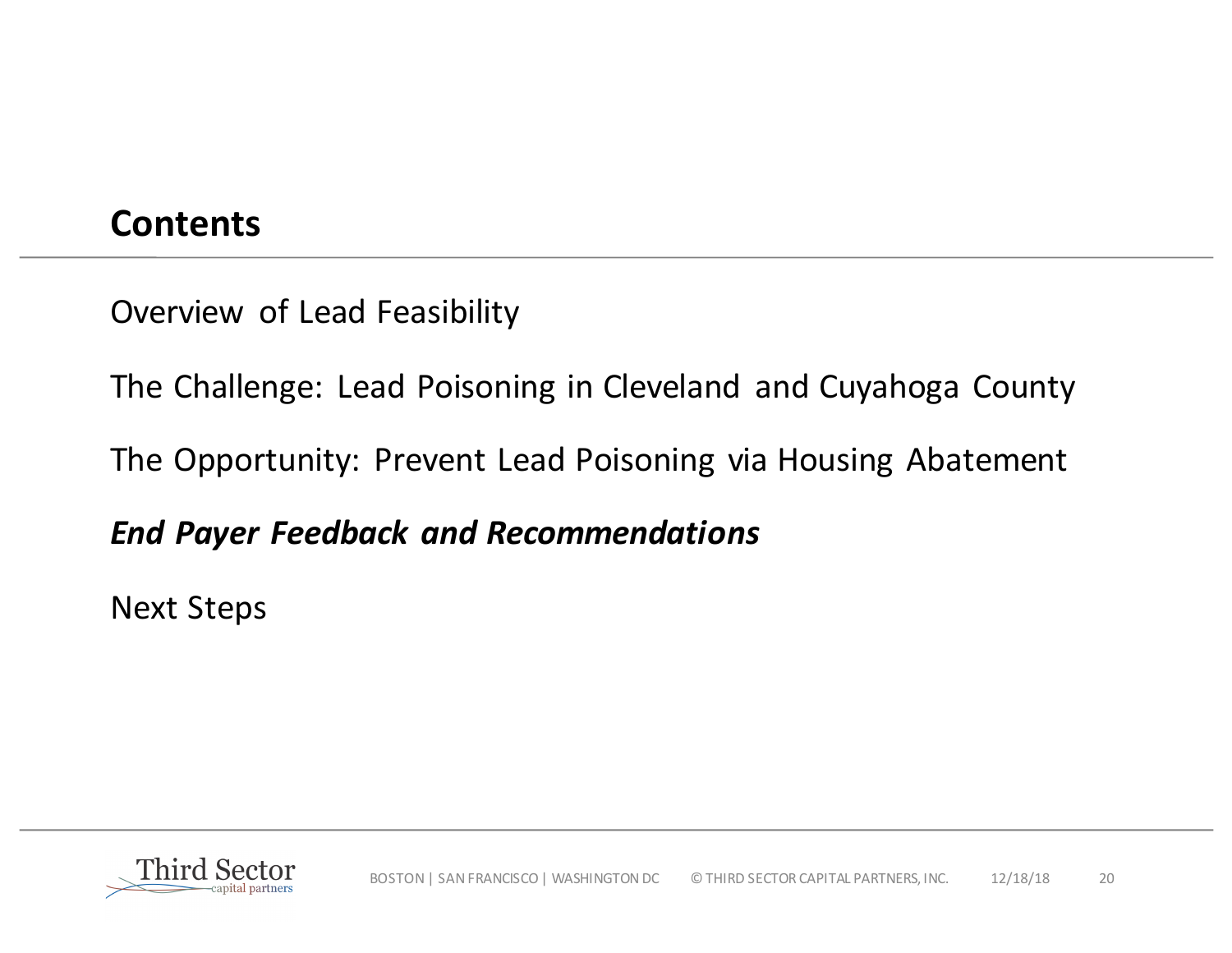## **Contents**

Overview of Lead Feasibility

The Challenge: Lead Poisoning in Cleveland and Cuyahoga County

The Opportunity: Prevent Lead Poisoning via Housing Abatement

*End Payer Feedback and Recommendations*

**Next Steps** 

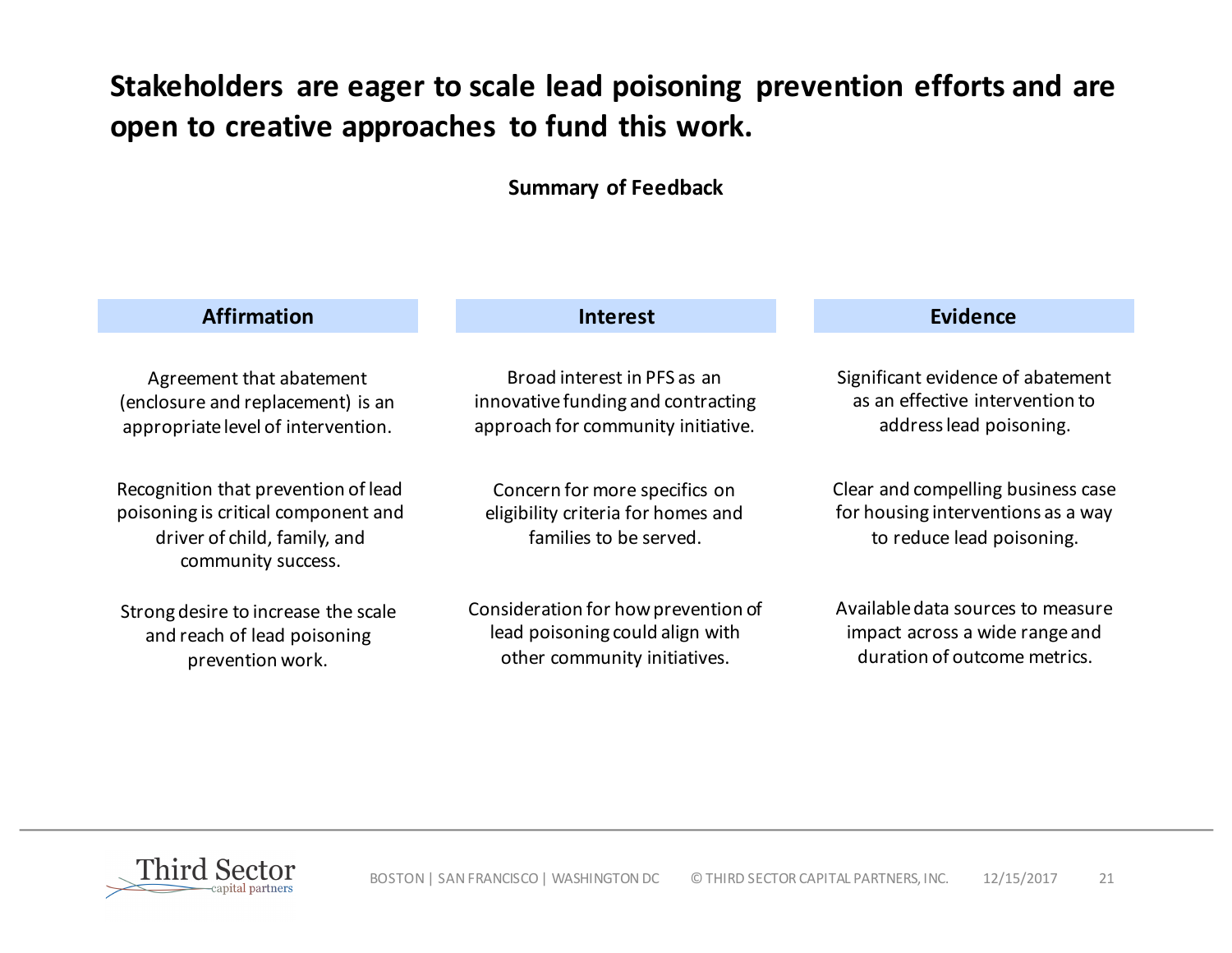## Stakeholders are eager to scale lead poisoning prevention efforts and are open to creative approaches to fund this work.

#### **Summary of Feedback**

| <b>Affirmation</b>                                                                                                               | <b>Interest</b>                                                                               | <b>Evidence</b>                                                                                       |  |
|----------------------------------------------------------------------------------------------------------------------------------|-----------------------------------------------------------------------------------------------|-------------------------------------------------------------------------------------------------------|--|
| Agreement that abatement                                                                                                         | Broad interest in PFS as an                                                                   | Significant evidence of abatement                                                                     |  |
| (enclosure and replacement) is an                                                                                                | innovative funding and contracting                                                            | as an effective intervention to                                                                       |  |
| appropriate level of intervention.                                                                                               | approach for community initiative.                                                            | address lead poisoning.                                                                               |  |
| Recognition that prevention of lead<br>poisoning is critical component and<br>driver of child, family, and<br>community success. | Concern for more specifics on<br>eligibility criteria for homes and<br>families to be served. | Clear and compelling business case<br>for housing interventions as a way<br>to reduce lead poisoning. |  |
| Strong desire to increase the scale                                                                                              | Consideration for how prevention of                                                           | Available data sources to measure                                                                     |  |
| and reach of lead poisoning                                                                                                      | lead poisoning could align with                                                               | impact across a wide range and                                                                        |  |
| prevention work.                                                                                                                 | other community initiatives.                                                                  | duration of outcome metrics.                                                                          |  |

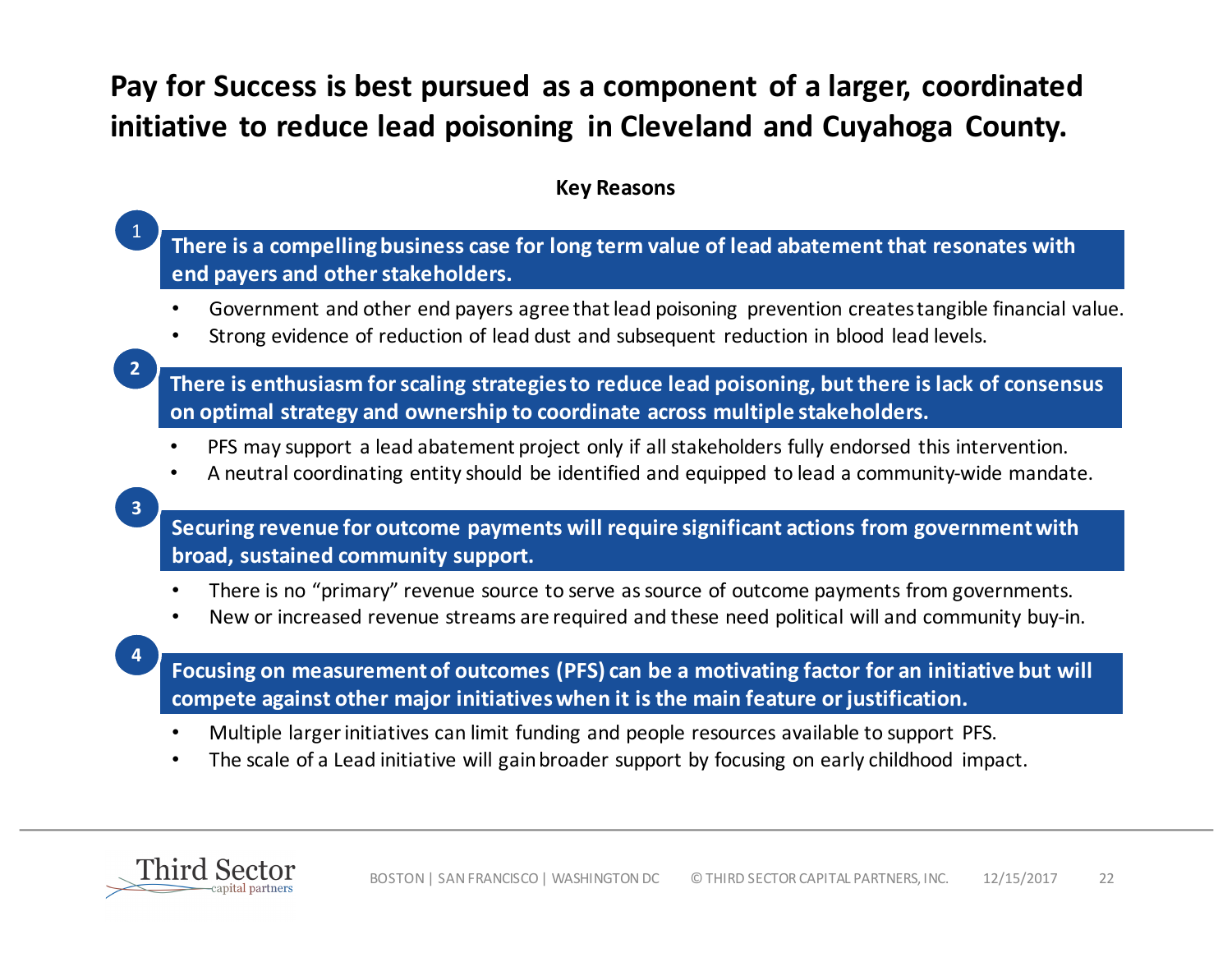## Pay for Success is best pursued as a component of a larger, coordinated **initiative to reduce lead poisoning in Cleveland and Cuyahoga County.**

#### **Key Reasons**

There is a compelling business case for long term value of lead abatement that resonates with **end payers and other stakeholders.**

- Government and other end payers agree that lead poisoning prevention creates tangible financial value.
- Strong evidence of reduction of lead dust and subsequent reduction in blood lead levels.

**2**

1

There is enthusiasm for scaling strategies to reduce lead poisoning, but there is lack of consensus **on optimal strategy and ownership to coordinate across multiple stakeholders.** 

- PFS may support a lead abatement project only if all stakeholders fully endorsed this intervention.
- A neutral coordinating entity should be identified and equipped to lead a community-wide mandate.

**3**

**4**

**Securing revenue for outcome payments will require significant actions from government with broad, sustained community support.** 

- There is no "primary" revenue source to serve as source of outcome payments from governments.
- New or increased revenue streams are required and these need political will and community buy-in.

Focusing on measurement of outcomes (PFS) can be a motivating factor for an initiative but will compete against other major initiatives when it is the main feature or justification.

- Multiple larger initiatives can limit funding and people resources available to support PFS.
- The scale of a Lead initiative will gain broader support by focusing on early childhood impact.

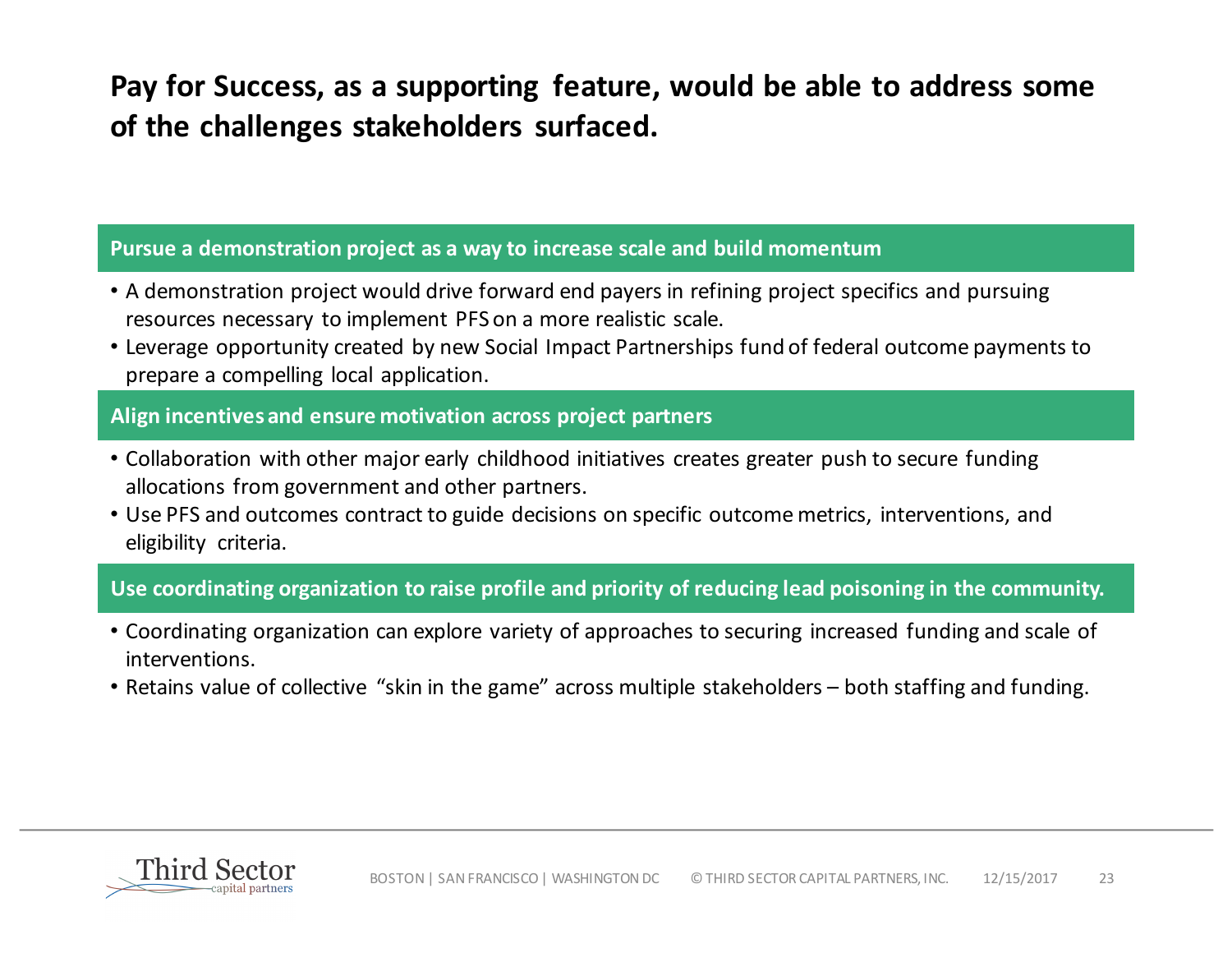Pay for Success, as a supporting feature, would be able to address some of the challenges stakeholders surfaced.

#### **Pursue a demonstration project as a way to increase scale and build momentum**

- A demonstration project would drive forward end payers in refining project specifics and pursuing resources necessary to implement PFS on a more realistic scale.
- Leverage opportunity created by new Social Impact Partnerships fund of federal outcome payments to prepare a compelling local application.

#### **Align incentives and ensure motivation across project partners**

- Collaboration with other major early childhood initiatives creates greater push to secure funding allocations from government and other partners.
- Use PFS and outcomes contract to guide decisions on specific outcome metrics, interventions, and eligibility criteria.

### Use coordinating organization to raise profile and priority of reducing lead poisoning in the community.

- Coordinating organization can explore variety of approaches to securing increased funding and scale of interventions.
- Retains value of collective "skin in the game" across multiple stakeholders both staffing and funding.

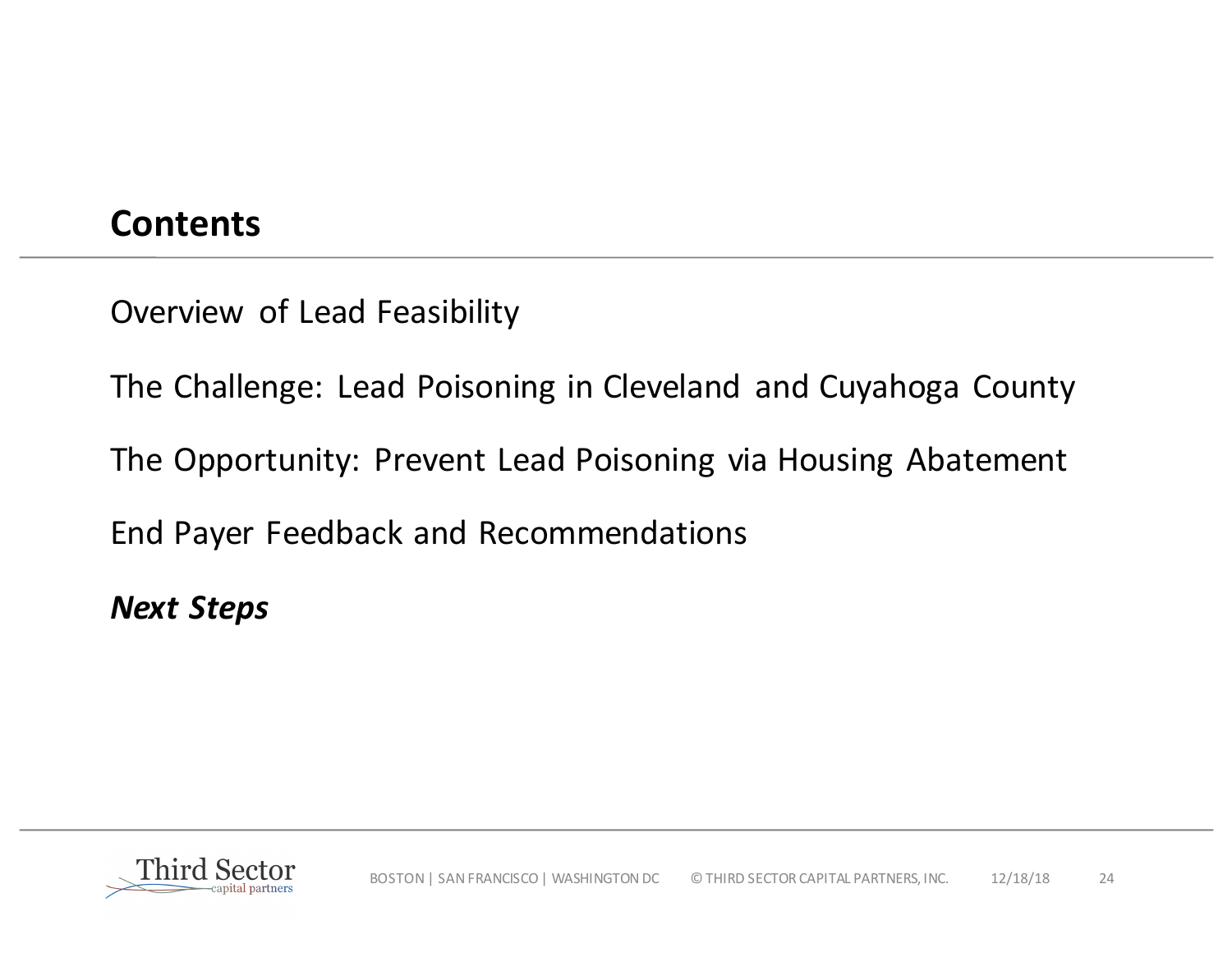## **Contents**

Overview of Lead Feasibility

The Challenge: Lead Poisoning in Cleveland and Cuyahoga County

The Opportunity: Prevent Lead Poisoning via Housing Abatement

End Payer Feedback and Recommendations

*Next Steps*

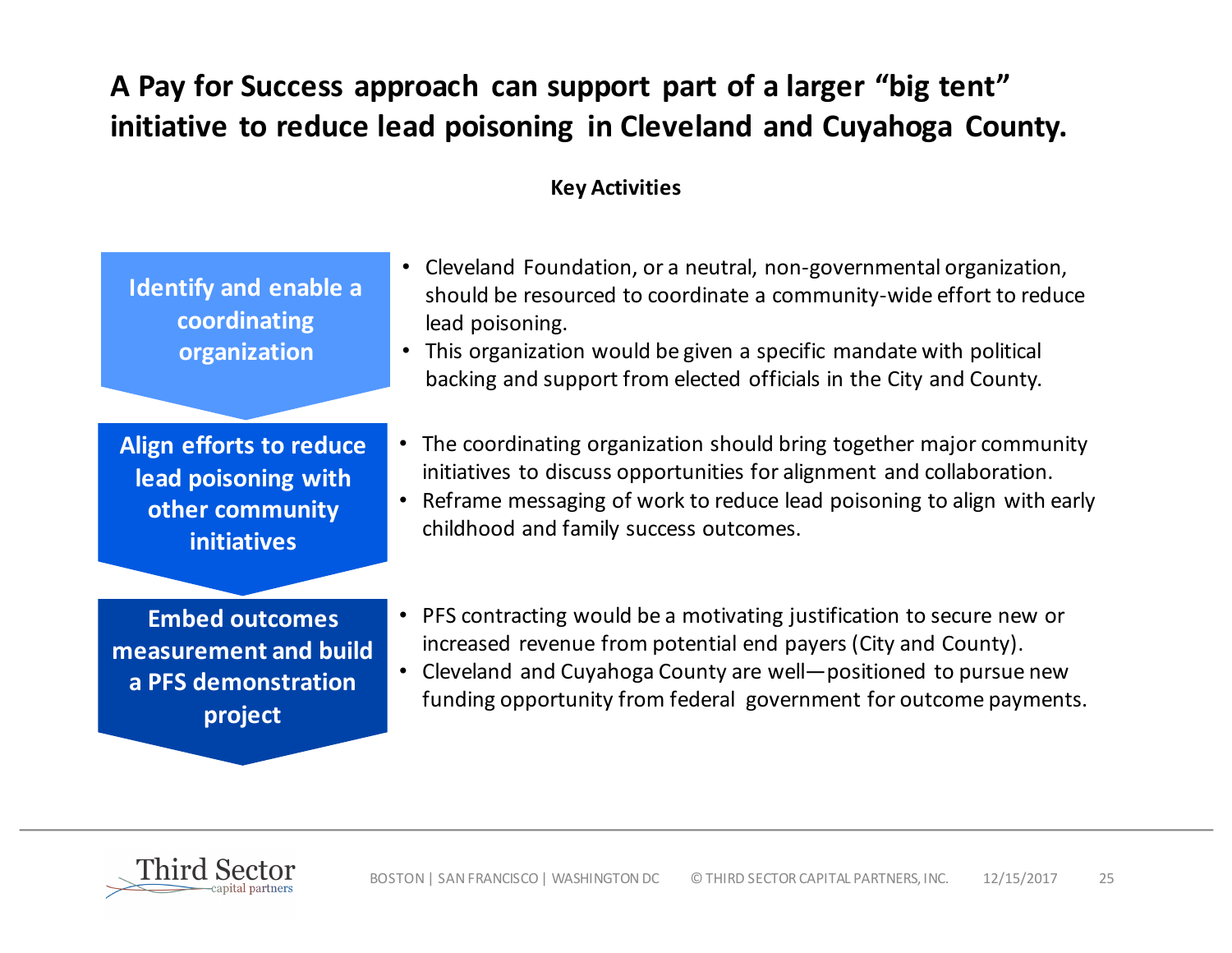## A Pay for Success approach can support part of a larger "big tent" initiative to reduce lead poisoning in Cleveland and Cuyahoga County.

### **Key Activities**

| <b>Identify and enable a</b><br>coordinating<br>organization                            | • Cleveland Foundation, or a neutral, non-governmental organization,<br>should be resourced to coordinate a community-wide effort to reduce<br>lead poisoning.<br>This organization would be given a specific mandate with political<br>backing and support from elected officials in the City and County. |
|-----------------------------------------------------------------------------------------|------------------------------------------------------------------------------------------------------------------------------------------------------------------------------------------------------------------------------------------------------------------------------------------------------------|
| Align efforts to reduce<br>lead poisoning with<br>other community<br><b>initiatives</b> | The coordinating organization should bring together major community<br>$\bullet$<br>initiatives to discuss opportunities for alignment and collaboration.<br>Reframe messaging of work to reduce lead poisoning to align with early<br>$\bullet$<br>childhood and family success outcomes.                 |
| <b>Embed outcomes</b><br>measurement and build<br>a PFS demonstration<br>project        | • PFS contracting would be a motivating justification to secure new or<br>increased revenue from potential end payers (City and County).<br>Cleveland and Cuyahoga County are well-positioned to pursue new<br>$\bullet$<br>funding opportunity from federal government for outcome payments.              |

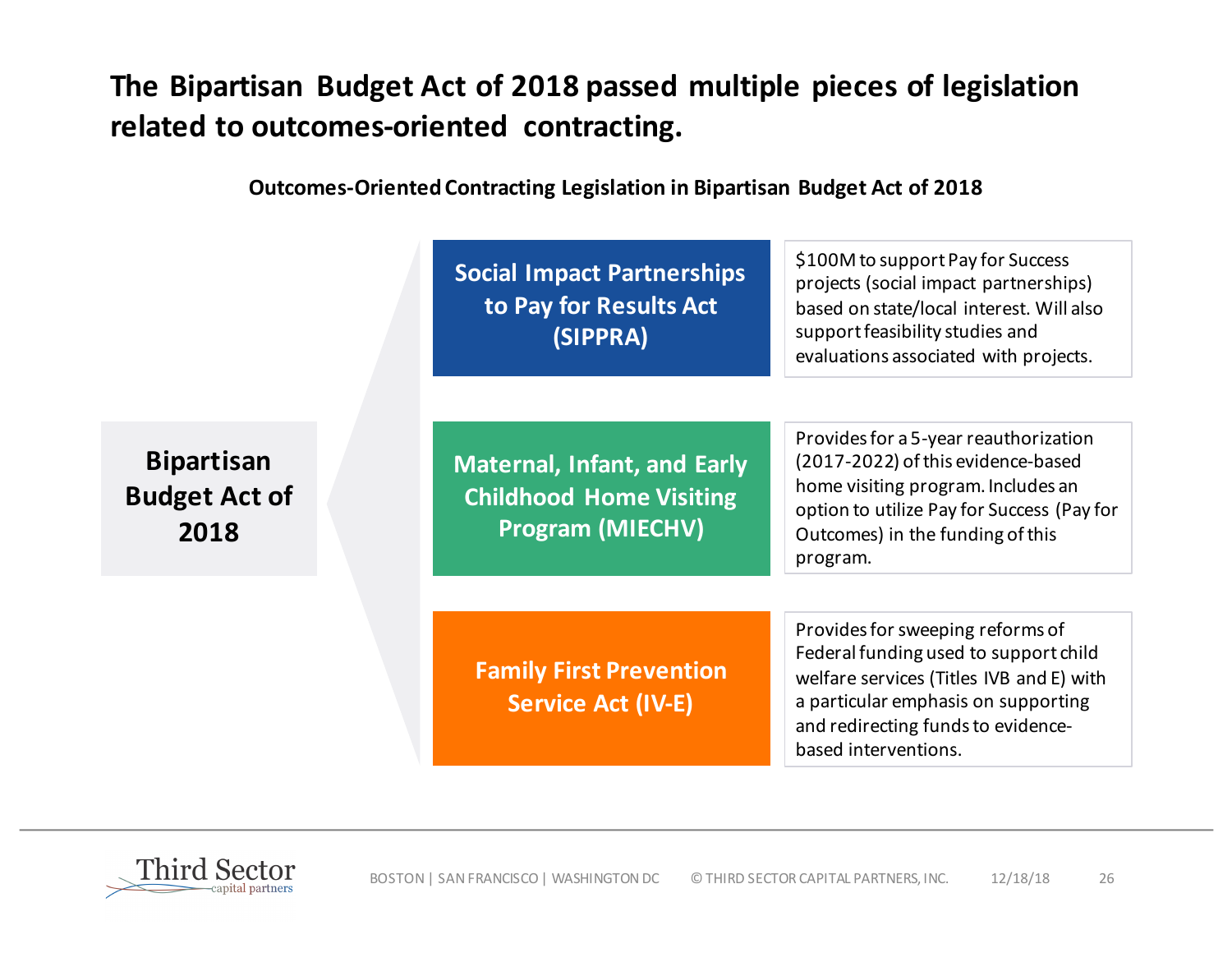## The Bipartisan Budget Act of 2018 passed multiple pieces of legislation related to outcomes-oriented contracting.

**Outcomes-Oriented Contracting Legislation in Bipartisan Budget Act of 2018** 

**Social Impact Partnerships to Pay for Results Act (SIPPRA)**

\$100M to support Pay for Success projects (social impact partnerships) based on state/local interest. Will also support feasibility studies and evaluations associated with projects.

**Bipartisan Budget Act of 2018**

**Maternal, Infant, and Early Childhood Home Visiting Program (MIECHV)**

Provides for a 5-year reauthorization (2017-2022) of this evidence-based home visiting program. Includes an option to utilize Pay for Success (Pay for Outcomes) in the funding of this program.

**Family First Prevention Service Act (IV-E)** 

Provides for sweeping reforms of Federal funding used to support child welfare services (Titles IVB and E) with a particular emphasis on supporting and redirecting funds to evidencebased interventions.

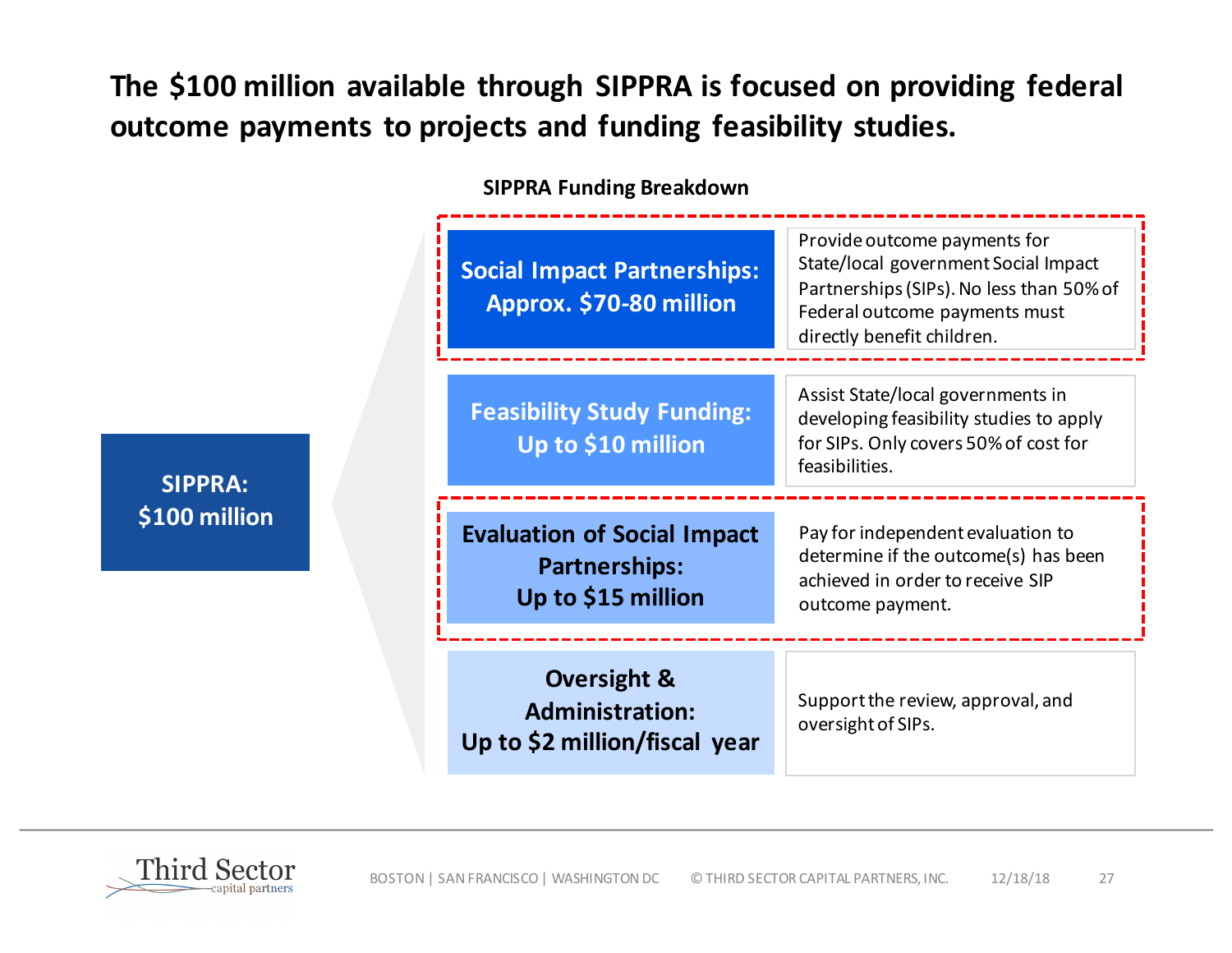## The \$100 million available through SIPPRA is focused on providing federal outcome payments to projects and funding feasibility studies.

**SIPPRA Funding Breakdown**

| <b>Social Impact Partnerships:</b><br>Approx. \$70-80 million                     | Provide outcome payments for<br>State/local government Social Impact<br>Partnerships (SIPs). No less than 50% of<br>Federal outcome payments must<br>directly benefit children. |
|-----------------------------------------------------------------------------------|---------------------------------------------------------------------------------------------------------------------------------------------------------------------------------|
| <b>Feasibility Study Funding:</b><br>Up to \$10 million                           | Assist State/local governments in<br>developing feasibility studies to apply<br>for SIPs. Only covers 50% of cost for<br>feasibilities.                                         |
| <b>Evaluation of Social Impact</b><br><b>Partnerships:</b><br>Up to \$15 million  | Pay for independent evaluation to<br>determine if the outcome(s) has been<br>achieved in order to receive SIP<br>outcome payment.                                               |
| <b>Oversight &amp;</b><br><b>Administration:</b><br>Up to \$2 million/fiscal year | Support the review, approval, and<br>oversight of SIPs.                                                                                                                         |

**SIPPRA: \$100 million**

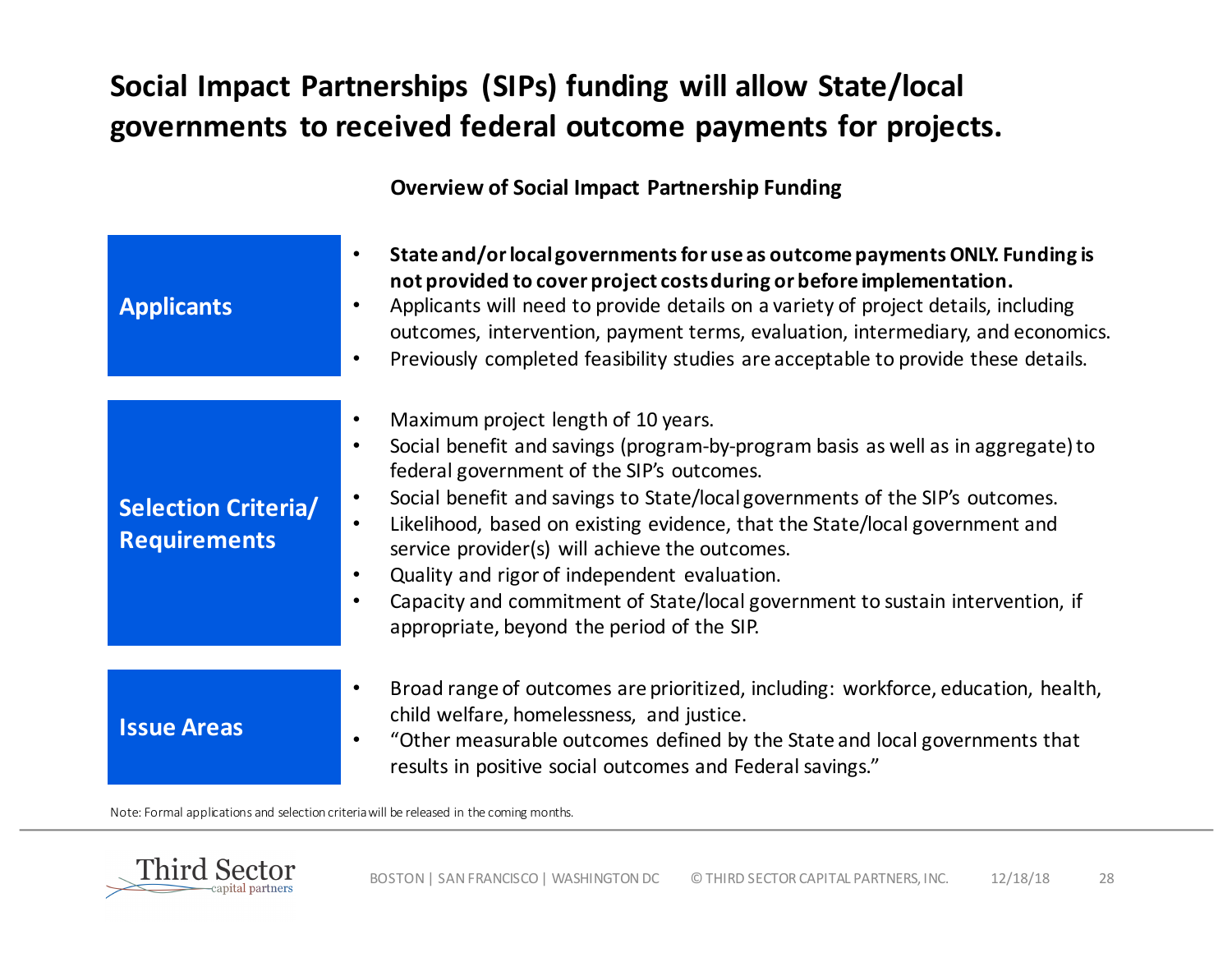## **Social Impact Partnerships (SIPs) funding will allow State/local governments to received federal outcome payments for projects.**

#### **Overview of Social Impact Partnership Funding**

| <b>Applicants</b>                                 | State and/or local governments for use as outcome payments ONLY. Funding is<br>$\bullet$<br>not provided to cover project costs during or before implementation.<br>Applicants will need to provide details on a variety of project details, including<br>$\bullet$<br>outcomes, intervention, payment terms, evaluation, intermediary, and economics.<br>Previously completed feasibility studies are acceptable to provide these details.<br>$\bullet$                                                                                                                                                                                           |
|---------------------------------------------------|----------------------------------------------------------------------------------------------------------------------------------------------------------------------------------------------------------------------------------------------------------------------------------------------------------------------------------------------------------------------------------------------------------------------------------------------------------------------------------------------------------------------------------------------------------------------------------------------------------------------------------------------------|
| <b>Selection Criteria/</b><br><b>Requirements</b> | Maximum project length of 10 years.<br>$\bullet$<br>Social benefit and savings (program-by-program basis as well as in aggregate) to<br>$\bullet$<br>federal government of the SIP's outcomes.<br>Social benefit and savings to State/local governments of the SIP's outcomes.<br>$\bullet$<br>Likelihood, based on existing evidence, that the State/local government and<br>$\bullet$<br>service provider(s) will achieve the outcomes.<br>Quality and rigor of independent evaluation.<br>$\bullet$<br>Capacity and commitment of State/local government to sustain intervention, if<br>$\bullet$<br>appropriate, beyond the period of the SIP. |
| <b>Issue Areas</b>                                | Broad range of outcomes are prioritized, including: workforce, education, health,<br>$\bullet$<br>child welfare, homelessness, and justice.<br>"Other measurable outcomes defined by the State and local governments that<br>$\bullet$<br>results in positive social outcomes and Federal savings."                                                                                                                                                                                                                                                                                                                                                |

Note: Formal applications and selection criteria will be released in the coming months.

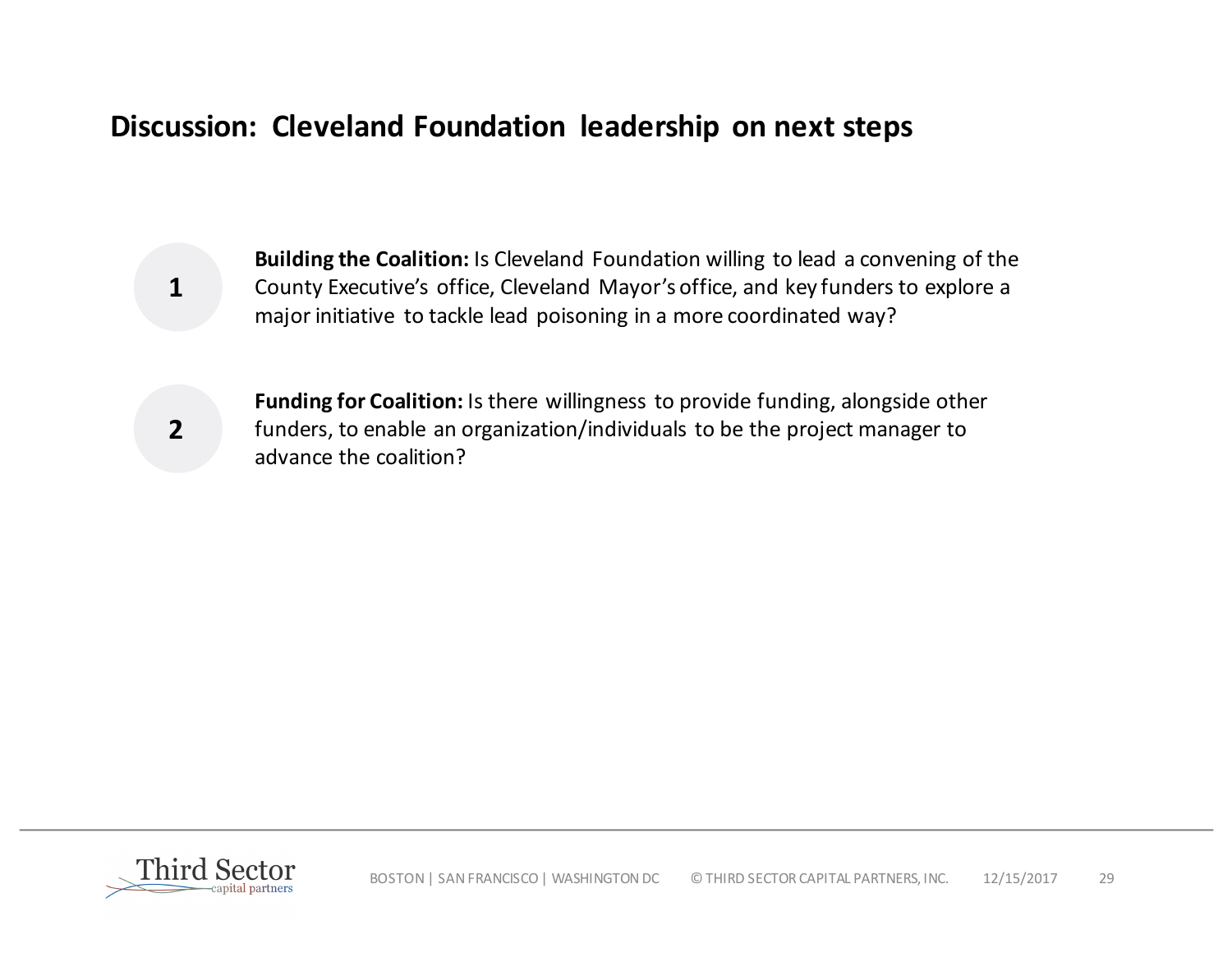## **Discussion: Cleveland Foundation leadership on next steps**

**Building the Coalition:** Is Cleveland Foundation willing to lead a convening of the County Executive's office, Cleveland Mayor's office, and key funders to explore a major initiative to tackle lead poisoning in a more coordinated way?

**2**

**1**

**Funding for Coalition:** Is there willingness to provide funding, alongside other funders, to enable an organization/individuals to be the project manager to advance the coalition?

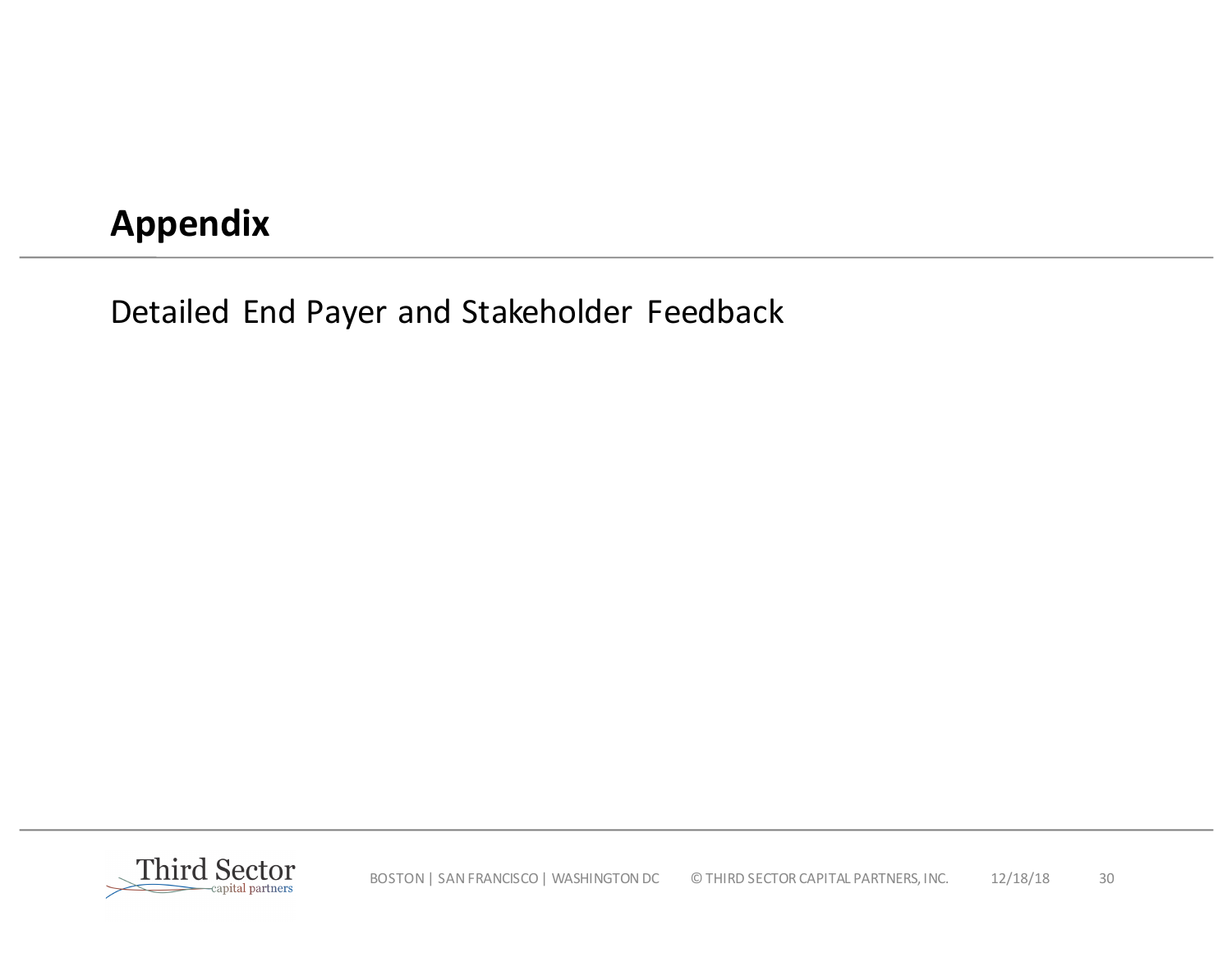## **Appendix**

Detailed End Payer and Stakeholder Feedback

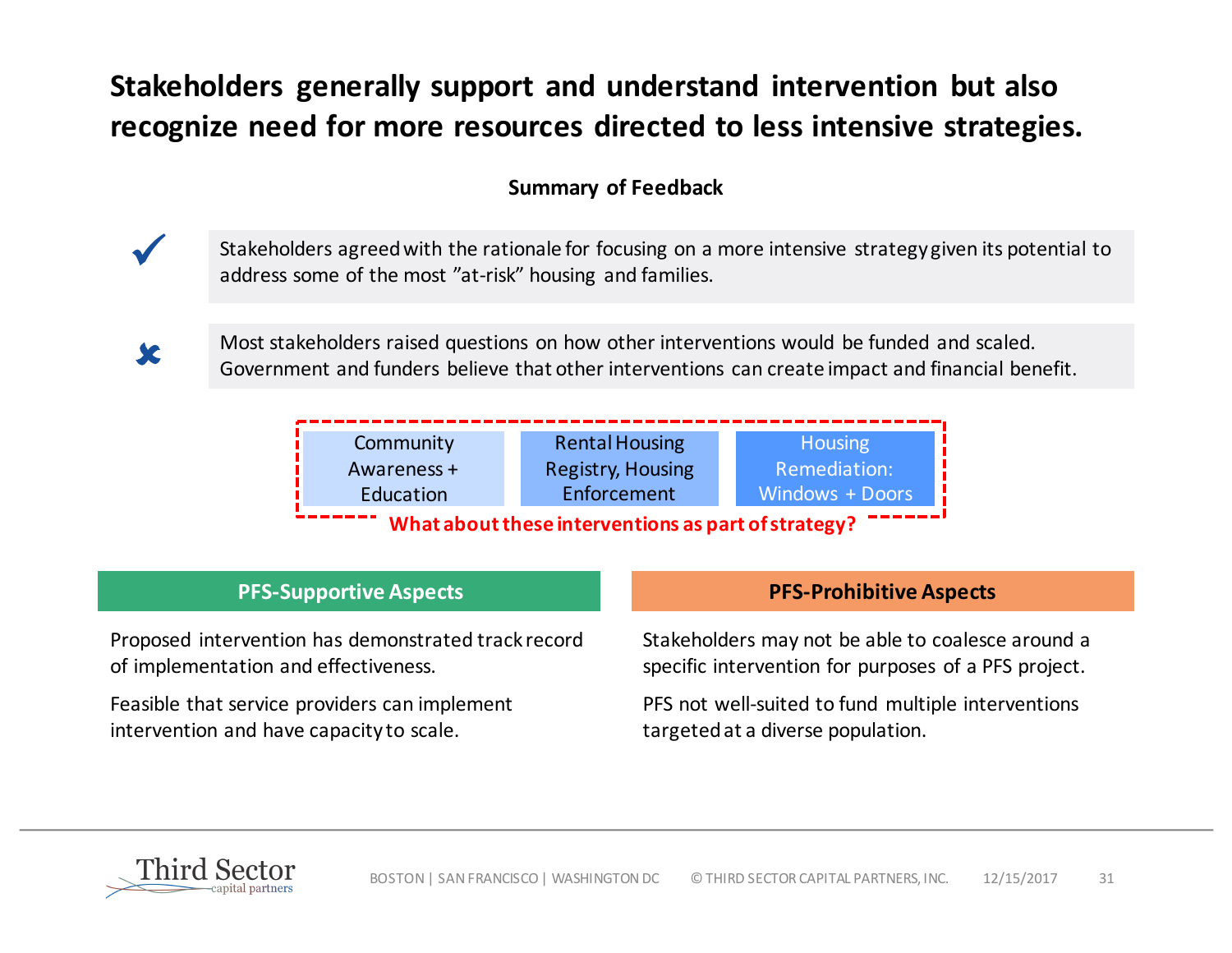## **Stakeholders generally support and understand intervention but also** recognize need for more resources directed to less intensive strategies.

### **Summary of Feedback**



Stakeholders agreed with the rationale for focusing on a more intensive strategy given its potential to address some of the most "at-risk" housing and families.



Most stakeholders raised questions on how other interventions would be funded and scaled. Government and funders believe that other interventions can create impact and financial benefit.



Proposed intervention has demonstrated track record of implementation and effectiveness.

Feasible that service providers can implement intervention and have capacity to scale.

#### **PFS-Supportive Aspects PFS-Prohibitive Aspects**

Stakeholders may not be able to coalesce around a specific intervention for purposes of a PFS project.

PFS not well-suited to fund multiple interventions targeted at a diverse population.

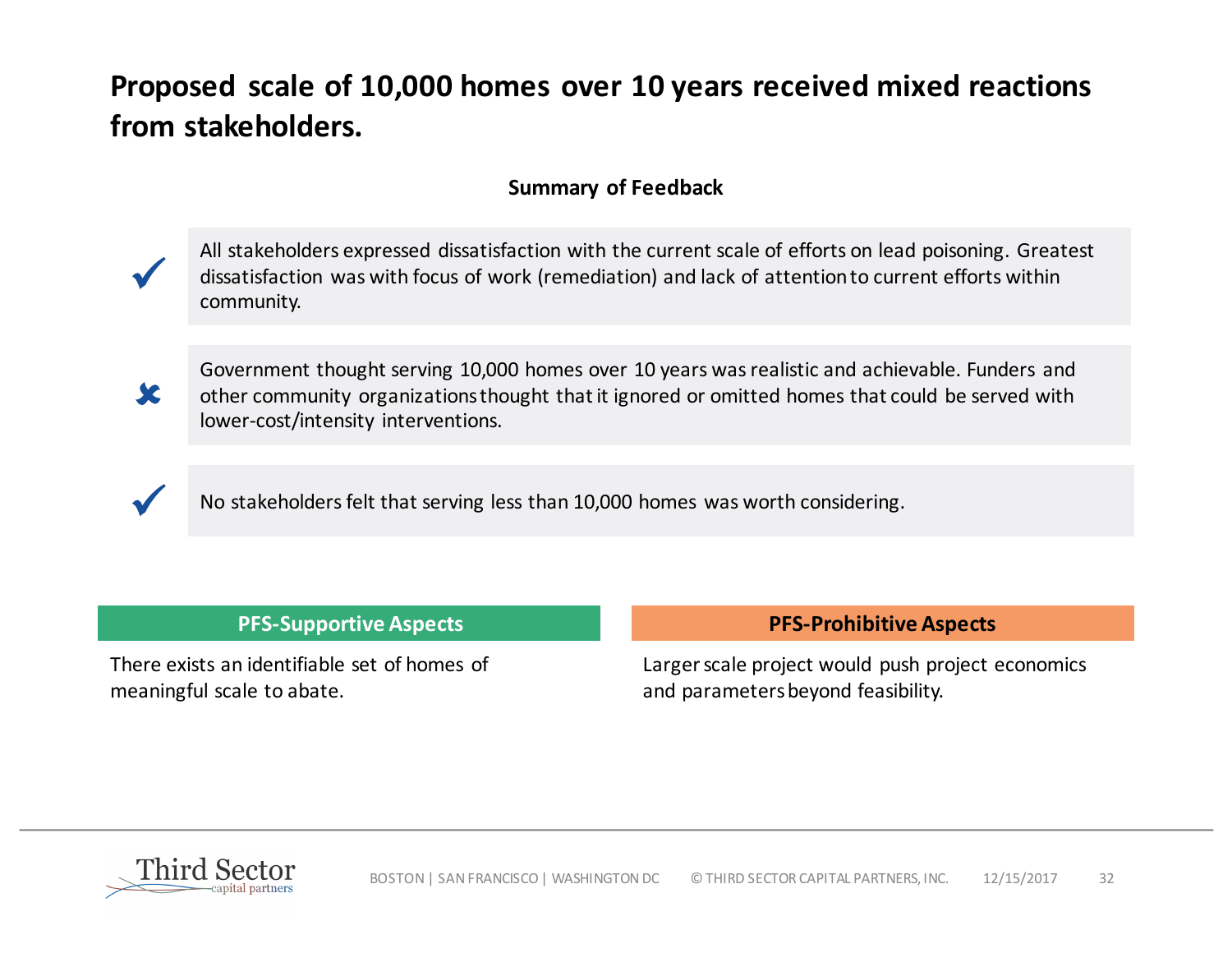## **Proposed scale of 10,000 homes over 10 years received mixed reactions** from stakeholders.

#### **Summary of Feedback**

All stakeholders expressed dissatisfaction with the current scale of efforts on lead poisoning. Greatest dissatisfaction was with focus of work (remediation) and lack of attention to current efforts within community.



ü

Government thought serving 10,000 homes over 10 years was realistic and achievable. Funders and other community organizations thought that it ignored or omitted homes that could be served with lower-cost/intensity interventions.



No stakeholders felt that serving less than 10,000 homes was worth considering.

There exists an identifiable set of homes of meaningful scale to abate.

#### **PFS-Supportive Aspects PFS-Prohibitive Aspects**

Larger scale project would push project economics and parameters beyond feasibility.

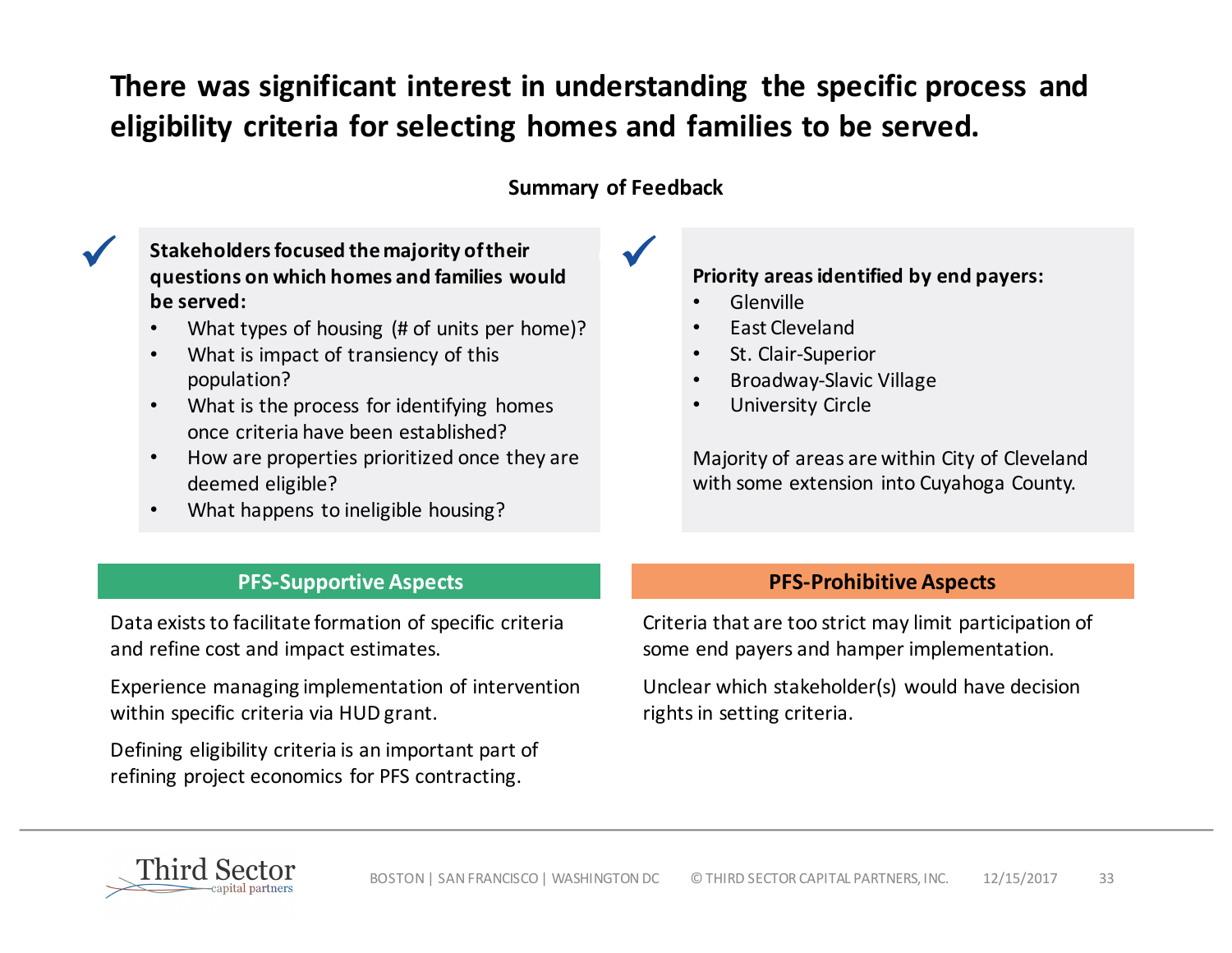## There was significant interest in understanding the specific process and eligibility criteria for selecting homes and families to be served.

#### **Summary of Feedback**

Stakeholders focused the majority of their<br>**Example 20** Stakeholders on which homes and families would **questions on which homes and families would be served:**

- What types of housing (# of units per home)?
- What is impact of transiency of this population?
- What is the process for identifying homes once criteria have been established?
- How are properties prioritized once they are deemed eligible?
- What happens to ineligible housing?

#### **Priority areas identified by end payers:**

- Glenville
- East Cleveland
- St. Clair-Superior
- Broadway-Slavic Village
- University Circle

Majority of areas are within City of Cleveland with some extension into Cuyahoga County.

#### **PFS-Supportive Aspects PFS-Prohibitive Aspects**

Data exists to facilitate formation of specific criteria and refine cost and impact estimates.

Experience managing implementation of intervention within specific criteria via HUD grant.

Defining eligibility criteria is an important part of refining project economics for PFS contracting.

Criteria that are too strict may limit participation of some end payers and hamper implementation.

Unclear which stakeholder(s) would have decision rights in setting criteria.

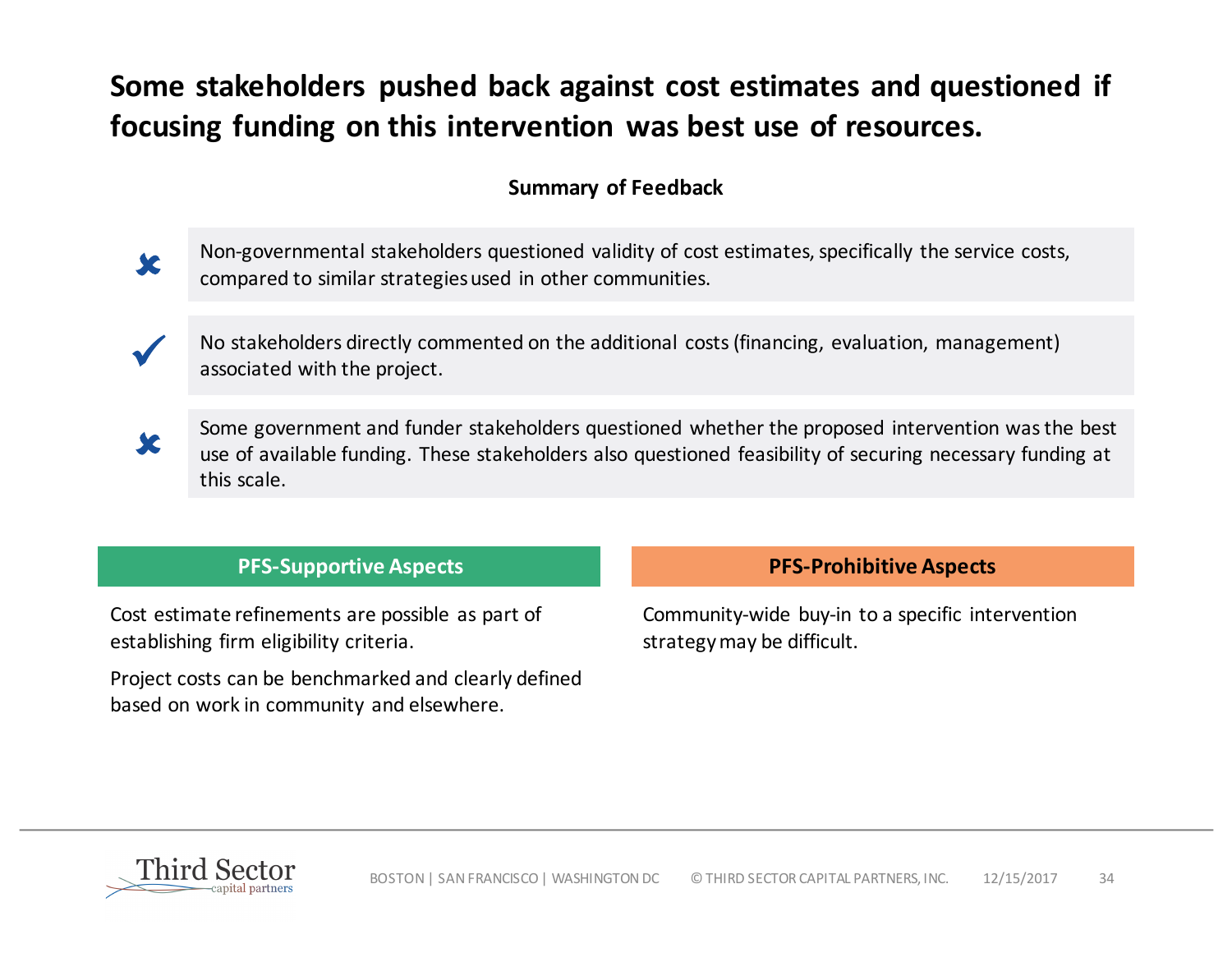## **Some stakeholders pushed back against cost estimates and questioned if** focusing funding on this intervention was best use of resources.

### **Summary of Feedback**

Non-governmental stakeholders questioned validity of cost estimates, specifically the service costs, compared to similar strategies used in other communities.

No stakeholders directly commented on the additional costs (financing, evaluation, management) associated with the project.

û

ü

û

Some government and funder stakeholders questioned whether the proposed intervention was the best use of available funding. These stakeholders also questioned feasibility of securing necessary funding at this scale.

#### **PFS-Supportive Aspects PFS-Prohibitive Aspects**

Cost estimate refinements are possible as part of establishing firm eligibility criteria.

Project costs can be benchmarked and clearly defined based on work in community and elsewhere.

Community-wide buy-in to a specific intervention strategy may be difficult.

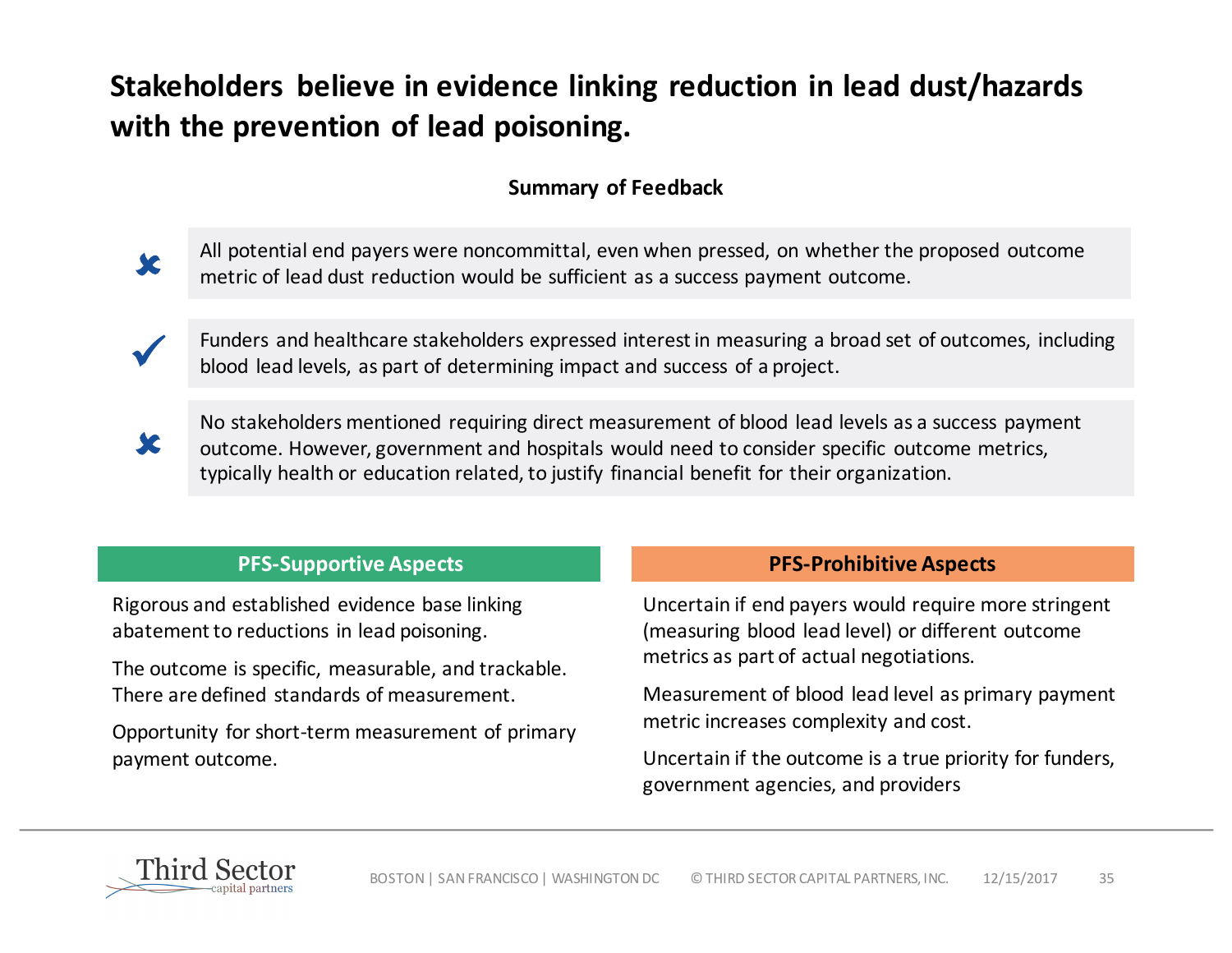## **Stakeholders believe in evidence linking reduction in lead dust/hazards** with the prevention of lead poisoning.

### **Summary of Feedback**

All potential end payers were noncommittal, even when pressed, on whether the proposed outcome metric of lead dust reduction would be sufficient as a success payment outcome.

Funders and healthcare stakeholders expressed interest in measuring a broad set of outcomes, including blood lead levels, as part of determining impact and success of a project.



û

No stakeholders mentioned requiring direct measurement of blood lead levels as a success payment outcome. However, government and hospitals would need to consider specific outcome metrics, typically health or education related, to justify financial benefit for their organization.

| <b>PFS-Supportive Aspects</b> |
|-------------------------------|
|-------------------------------|

Rigorous and established evidence base linking abatement to reductions in lead poisoning.

The outcome is specific, measurable, and trackable. There are defined standards of measurement.

Opportunity for short-term measurement of primary payment outcome.

#### **PFS-Prohibitive Aspects**

Uncertain if end payers would require more stringent (measuring blood lead level) or different outcome metrics as part of actual negotiations.

Measurement of blood lead level as primary payment metric increases complexity and cost.

Uncertain if the outcome is a true priority for funders, government agencies, and providers

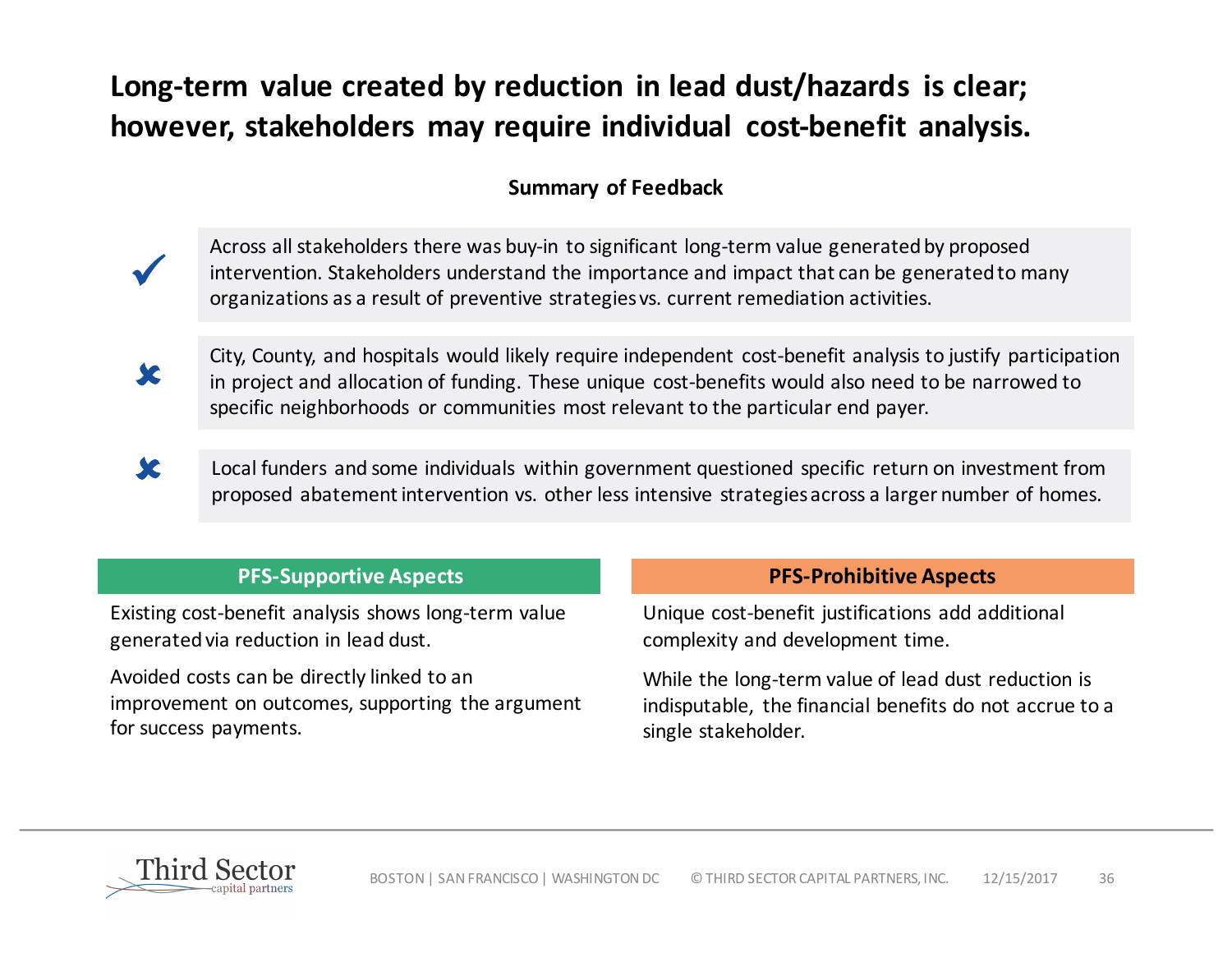## Long-term value created by reduction in lead dust/hazards is clear; however, stakeholders may require individual cost-benefit analysis.

### **Summary of Feedback**

Across all stakeholders there was buy-in to significant long-term value generated by proposed intervention. Stakeholders understand the importance and impact that can be generated to many organizations as a result of preventive strategies vs. current remediation activities.

City, County, and hospitals would likely require independent cost-benefit analysis to justify participation<br>in project and allocation of funding. These unique sect benefits would also need to be parrough to in project and allocation of funding. These unique cost-benefits would also need to be narrowed to specific neighborhoods or communities most relevant to the particular end payer.

Local funders and some individuals within government questioned specific return on investment from proposed abatement intervention vs. other less intensive strategies across a larger number of homes. û

#### **PFS-Supportive Aspects PFS-Prohibitive Aspects**

Existing cost-benefit analysis shows long-term value generated via reduction in lead dust.

Avoided costs can be directly linked to an improvement on outcomes, supporting the argument for success payments.

Unique cost-benefit justifications add additional complexity and development time.

While the long-term value of lead dust reduction is indisputable, the financial benefits do not accrue to a single stakeholder.

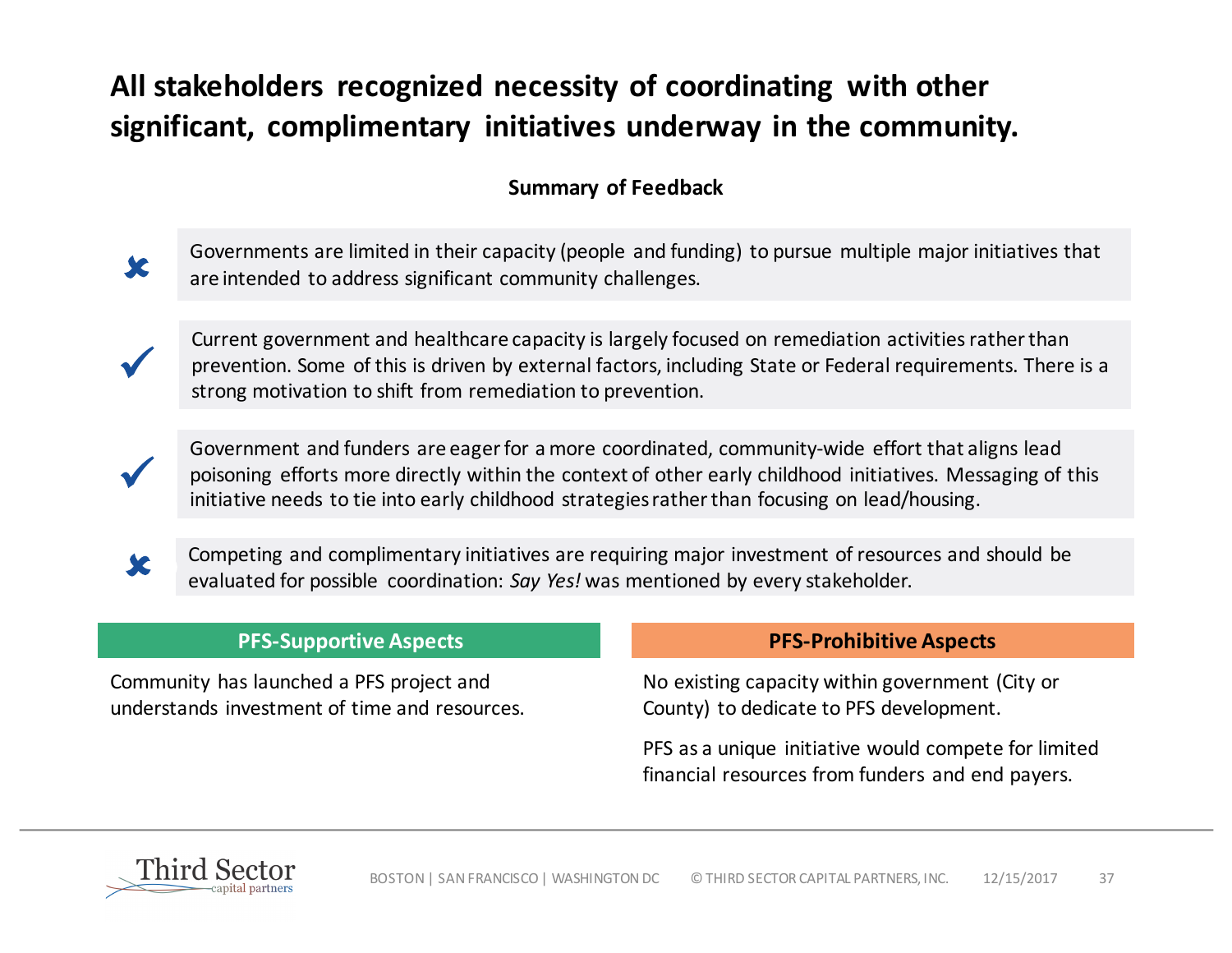## All stakeholders recognized necessity of coordinating with other significant, complimentary initiatives underway in the community.

### **Summary of Feedback**

Governments are limited in their capacity (people and funding) to pursue multiple major initiatives that are intended to address significant community challenges.

Current government and healthcare capacity is largely focused on remediation activities rather than prevention. Some of this is driven by external factors, including State or Federal requirements. There is a strong motivation to shift from remediation to prevention.

ü

ü

û

Government and funders are eager for a more coordinated, community-wide effort that aligns lead poisoning efforts more directly within the context of other early childhood initiatives. Messaging of this initiative needs to tie into early childhood strategies rather than focusing on lead/housing.

Competing and complimentary initiatives are requiring major investment of resources and should be evaluated for possible coordination: Say Yes! was mentioned by every stakeholder. û

Community has launched a PFS project and understands investment of time and resources.

#### **PFS-Supportive Aspects PFS-Prohibitive Aspects**

No existing capacity within government (City or County) to dedicate to PFS development.

PFS as a unique initiative would compete for limited financial resources from funders and end payers.

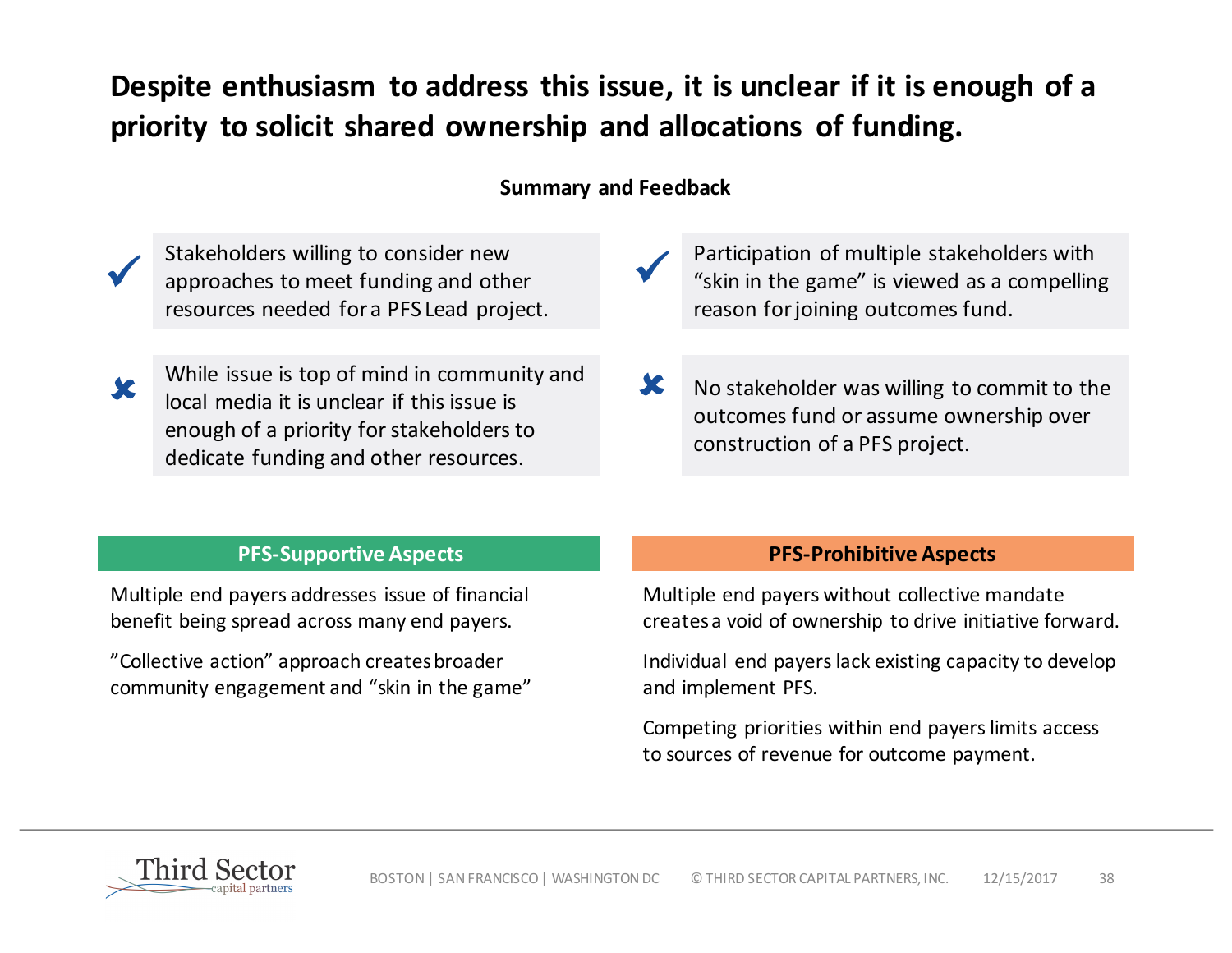## **Despite enthusiasm to address this issue, it is unclear if it is enough of a** priority to solicit shared ownership and allocations of funding.

#### **Summary and Feedback**

Stakeholders willing to consider new<br>approaches to meet funding and other resources needed for a PFS Lead project.



While issue is top of mind in community and local media it is unclear if this issue is enough of a priority for stakeholders to dedicate funding and other resources.

- **V** Participation of multiple stakeholders with<br>
"skin in the game" is viewed as a compelling reason for joining outcomes fund.
- $\mathbf{\mathcal{X}}$  No stakeholder was willing to commit to the outcomes fund or assume ownership over construction of a PFS project.

Multiple end payers addresses issue of financial benefit being spread across many end payers.

"Collective action" approach creates broader community engagement and "skin in the game"

#### **PFS-Supportive Aspects PFS-Prohibitive Aspects**

Multiple end payers without collective mandate creates a void of ownership to drive initiative forward.

Individual end payers lack existing capacity to develop and implement PFS.

Competing priorities within end payers limits access to sources of revenue for outcome payment.

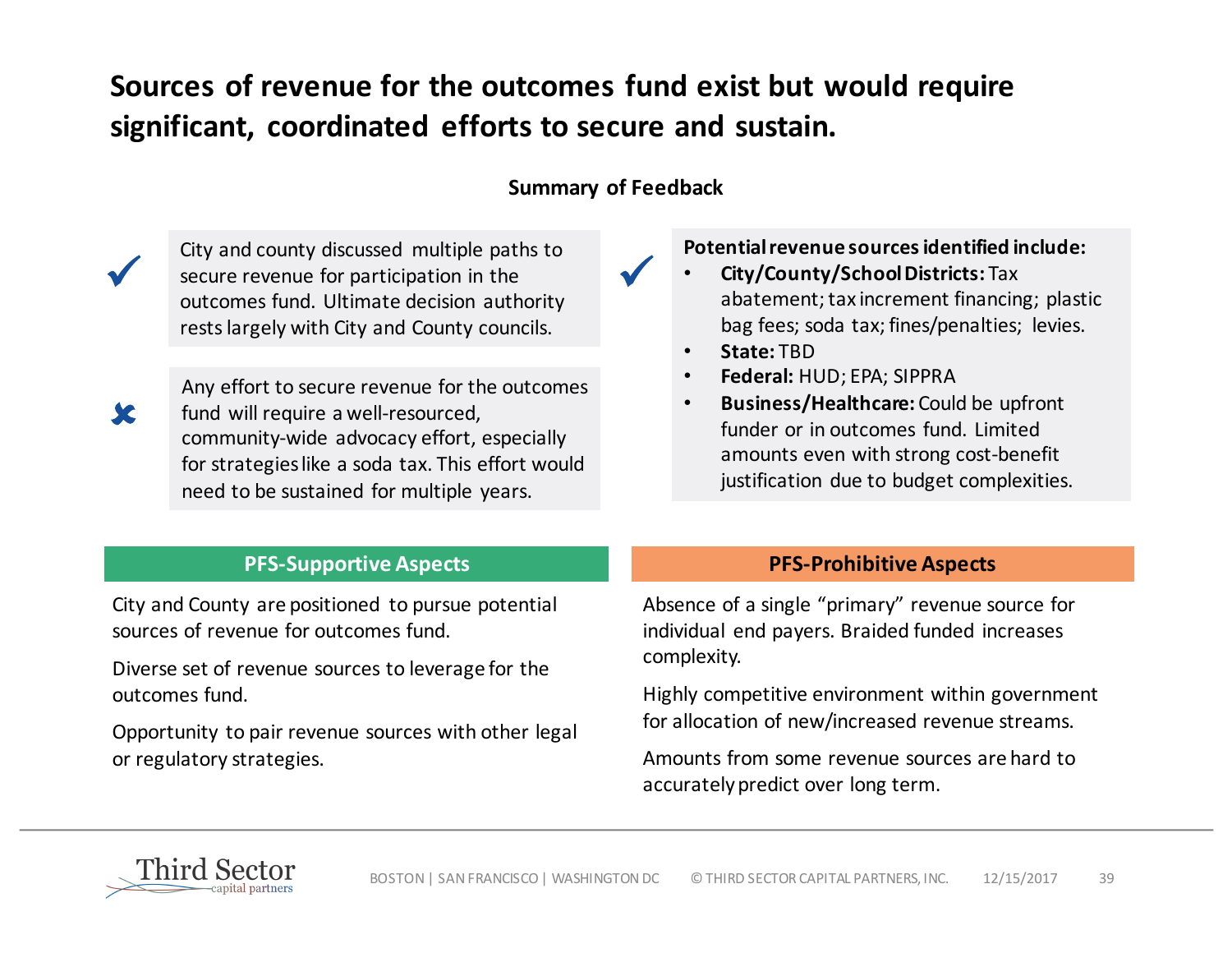## Sources of revenue for the outcomes fund exist but would require significant, coordinated efforts to secure and sustain.

#### **Summary of Feedback**

ü

City and county discussed multiple paths to secure revenue for participation in the outcomes fund. Ultimate decision authority rests largely with City and County councils.

Any effort to secure revenue for the outcomes fund will require a well-resourced, community-wide advocacy effort, especially for strategies like a soda tax. This effort would need to be sustained for multiple years.

#### **Potential revenue sources identified include:**

- **City/County/School Districts:** Tax abatement; tax increment financing; plastic bag fees; soda tax; fines/penalties; levies.
- **State:** TBD
- **Federal:** HUD; EPA; SIPPRA
- **Business/Healthcare:** Could be upfront funder or in outcomes fund. Limited amounts even with strong cost-benefit justification due to budget complexities.

City and County are positioned to pursue potential sources of revenue for outcomes fund.

Diverse set of revenue sources to leverage for the outcomes fund.

Opportunity to pair revenue sources with other legal or regulatory strategies.

#### **PFS-Supportive Aspects PFS-Prohibitive Aspects**

Absence of a single "primary" revenue source for individual end payers. Braided funded increases complexity. 

Highly competitive environment within government for allocation of new/increased revenue streams.

Amounts from some revenue sources are hard to accurately predict over long term.



ü

û